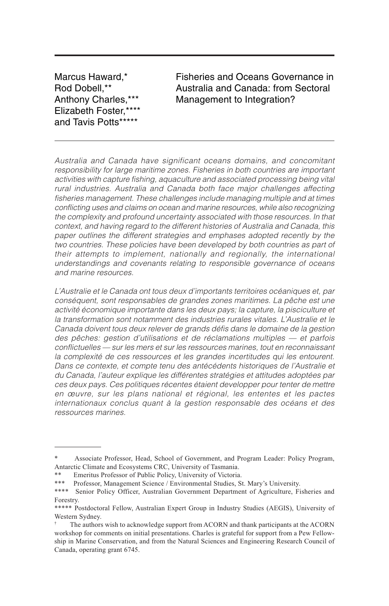Marcus Haward,\* Rod Dobell,\*\* Anthony Charles,\*\*\* Elizabeth Foster,\*\*\*\* and Tavis Potts\*\*\*\*\*

Fisheries and Oceans Governance in Australia and Canada: from Sectoral Management to Integration?

Australia and Canada have significant oceans domains, and concomitant responsibility for large maritime zones. Fisheries in both countries are important activities with capture fishing, aquaculture and associated processing being vital rural industries. Australia and Canada both face major challenges affecting fisheries management. These challenges include managing multiple and at times conflicting uses and claims on ocean and marine resources, while also recognizing the complexity and profound uncertainty associated with those resources. In that context, and having regard to the different histories of Australia and Canada, this paper outlines the different strategies and emphases adopted recently by the two countries. These policies have been developed by both countries as part of their attempts to implement, nationally and regionally, the international understandings and covenants relating to responsible governance of oceans and marine resources.

L'Australie et le Canada ont tous deux d'importants territoires océaniques et, par conséquent, sont responsables de grandes zones maritimes. La pêche est une activité économique importante dans les deux pays; la capture, la pisciculture et la transformation sont notamment des industries rurales vitales. L'Australie et le Canada doivent tous deux relever de grands défis dans le domaine de la gestion des pêches: gestion d'utilisations et de réclamations multiples — et parfois conflictuelles — sur les mers et sur les ressources marines, tout en reconnaissant la complexité de ces ressources et les grandes incertitudes qui les entourent. Dans ce contexte, et compte tenu des antécédents historiques de l'Australie et du Canada, l'auteur explique les différentes stratégies et attitudes adoptées par ces deux pays. Ces politiques récentes étaient developper pour tenter de mettre en œuvre, sur les plans national et régional, les ententes et les pactes internationaux conclus quant à la gestion responsable des océans et des ressources marines.

<sup>\*</sup> Associate Professor, Head, School of Government, and Program Leader: Policy Program, Antarctic Climate and Ecosystems CRC, University of Tasmania.

<sup>\*\*</sup> Emeritus Professor of Public Policy, University of Victoria.

<sup>\*\*\*</sup> Professor, Management Science / Environmental Studies, St. Mary's University.

<sup>\*\*\*\*</sup> Senior Policy Officer, Australian Government Department of Agriculture, Fisheries and Forestry.

<sup>\*\*\*\*\*</sup> Postdoctoral Fellow, Australian Expert Group in Industry Studies (AEGIS), University of Western Sydney.

<sup>†</sup> The authors wish to acknowledge support from ACORN and thank participants at the ACORN workshop for comments on initial presentations. Charles is grateful for support from a Pew Fellowship in Marine Conservation, and from the Natural Sciences and Engineering Research Council of Canada, operating grant 6745.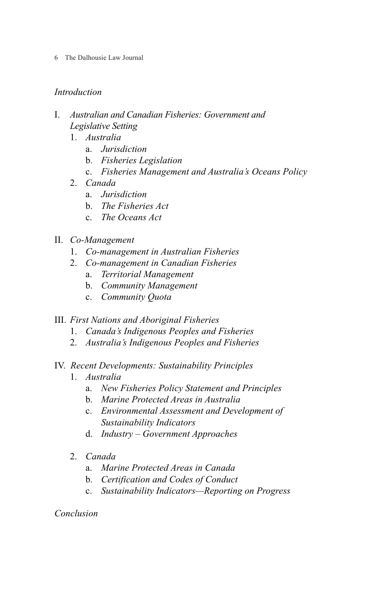6 The Dalhousie Law Journal

# *Introduction*

- I. *Australian and Canadian Fisheries: Government and Legislative Setting*
	- 1. *Australia*
		- a. *Jurisdiction*
		- b. *Fisheries Legislation*
		- c. *Fisheries Management and Australia's Oceans Policy*
	- 2. *Canada*
		- a. *Jurisdiction*
		- b. *The Fisheries Act*
		- c. *The Oceans Act*
- II. *Co-Management*
	- 1. *Co-management in Australian Fisheries*
	- 2. *Co-management in Canadian Fisheries*
		- a. *Territorial Management*
		- b. *Community Management*
		- c. *Community Quota*

# III. *First Nations and Aboriginal Fisheries*

- 1. *Canada's Indigenous Peoples and Fisheries*
- 2. *Australia's Indigenous Peoples and Fisheries*
- IV. *Recent Developments: Sustainability Principles*
	- 1. *Australia*
		- a. *New Fisheries Policy Statement and Principles*
		- b. *Marine Protected Areas in Australia*
		- c. *Environmental Assessment and Development of Sustainability Indicators*
		- d. *Industry Government Approaches*
	- 2. *Canada*
		- a. *Marine Protected Areas in Canada*
		- b. *Certification and Codes of Conduct*
		- c. *Sustainability Indicators—Reporting on Progress*

# *Conclusion*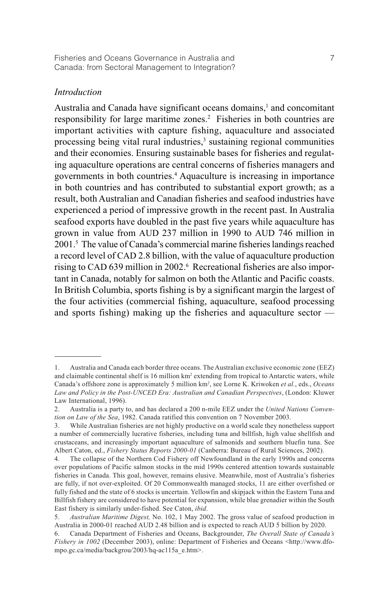## *Introduction*

Australia and Canada have significant oceans domains,<sup>1</sup> and concomitant responsibility for large maritime zones.<sup>2</sup> Fisheries in both countries are important activities with capture fishing, aquaculture and associated processing being vital rural industries,<sup>3</sup> sustaining regional communities and their economies. Ensuring sustainable bases for fisheries and regulating aquaculture operations are central concerns of fisheries managers and governments in both countries.4 Aquaculture is increasing in importance in both countries and has contributed to substantial export growth; as a result, both Australian and Canadian fisheries and seafood industries have experienced a period of impressive growth in the recent past. In Australia seafood exports have doubled in the past five years while aquaculture has grown in value from AUD 237 million in 1990 to AUD 746 million in 2001.5 The value of Canada's commercial marine fisheries landings reached a record level of CAD 2.8 billion, with the value of aquaculture production rising to CAD 639 million in 2002.<sup>6</sup> Recreational fisheries are also important in Canada, notably for salmon on both the Atlantic and Pacific coasts. In British Columbia, sports fishing is by a significant margin the largest of the four activities (commercial fishing, aquaculture, seafood processing and sports fishing) making up the fisheries and aquaculture sector —

<sup>1.</sup> Australia and Canada each border three oceans. The Australian exclusive economic zone (EEZ) and claimable continental shelf is 16 million km<sup>2</sup> extending from tropical to Antarctic waters, while Canada's offshore zone is approximately 5 million km2 , see Lorne K. Kriwoken *et al.*, eds., *Oceans Law and Policy in the Post-UNCED Era: Australian and Canadian Perspectives*, (London: Kluwer Law International, 1996).

<sup>2.</sup> Australia is a party to, and has declared a 200 n-mile EEZ under the *United Nations Convention on Law of the Sea*, 1982. Canada ratified this convention on 7 November 2003.

<sup>3.</sup> While Australian fisheries are not highly productive on a world scale they nonetheless support a number of commercially lucrative fisheries, including tuna and billfish, high value shellfish and crustaceans, and increasingly important aquaculture of salmonids and southern bluefin tuna. See Albert Caton, ed., *Fishery Status Reports 2000-01* (Canberra: Bureau of Rural Sciences, 2002).

<sup>4.</sup> The collapse of the Northern Cod Fishery off Newfoundland in the early 1990s and concerns over populations of Pacific salmon stocks in the mid 1990s centered attention towards sustainable fisheries in Canada. This goal, however, remains elusive. Meanwhile, most of Australia's fisheries are fully, if not over-exploited. Of 20 Commonwealth managed stocks, 11 are either overfished or fully fished and the state of 6 stocks is uncertain. Yellowfin and skipjack within the Eastern Tuna and Billfish fishery are considered to have potential for expansion, while blue grenadier within the South East fishery is similarly under-fished. See Caton, *ibid*.

<sup>5.</sup> *Australian Maritime Digest,* No. 102, 1 May 2002. The gross value of seafood production in Australia in 2000-01 reached AUD 2.48 billion and is expected to reach AUD 5 billion by 2020.

<sup>6.</sup> Canada Department of Fisheries and Oceans, Backgrounder, *The Overall State of Canada's Fishery in 1002* (December 2003), online: Department of Fisheries and Oceans <http://www.dfompo.gc.ca/media/backgrou/2003/hq-ac115a\_e.htm>.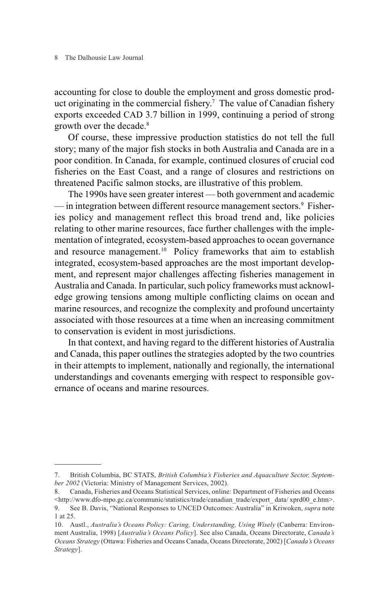8 The Dalhousie Law Journal

accounting for close to double the employment and gross domestic product originating in the commercial fishery.<sup>7</sup> The value of Canadian fishery exports exceeded CAD 3.7 billion in 1999, continuing a period of strong growth over the decade.<sup>8</sup>

Of course, these impressive production statistics do not tell the full story; many of the major fish stocks in both Australia and Canada are in a poor condition. In Canada, for example, continued closures of crucial cod fisheries on the East Coast, and a range of closures and restrictions on threatened Pacific salmon stocks, are illustrative of this problem.

The 1990s have seen greater interest — both government and academic — in integration between different resource management sectors.<sup>9</sup> Fisheries policy and management reflect this broad trend and, like policies relating to other marine resources, face further challenges with the implementation of integrated, ecosystem-based approaches to ocean governance and resource management.<sup>10</sup> Policy frameworks that aim to establish integrated, ecosystem-based approaches are the most important development, and represent major challenges affecting fisheries management in Australia and Canada. In particular, such policy frameworks must acknowledge growing tensions among multiple conflicting claims on ocean and marine resources, and recognize the complexity and profound uncertainty associated with those resources at a time when an increasing commitment to conservation is evident in most jurisdictions.

In that context, and having regard to the different histories of Australia and Canada, this paper outlines the strategies adopted by the two countries in their attempts to implement, nationally and regionally, the international understandings and covenants emerging with respect to responsible governance of oceans and marine resources.

<sup>7.</sup> British Columbia, BC STATS, *British Columbia's Fisheries and Aquaculture Sector, September 2002* (Victoria: Ministry of Management Services, 2002).

<sup>8.</sup> Canada, Fisheries and Oceans Statistical Services, online: Department of Fisheries and Oceans <http://www.dfo-mpo.gc.ca/communic/statistics/trade/canadian\_trade/export\_data/ xprd00\_e.htm>. 9. See B. Davis, "National Responses to UNCED Outcomes: Australia" in Kriwoken, *supra* note 1 at 25.

<sup>10.</sup> Austl., *Australia's Oceans Policy: Caring, Understanding, Using Wisely* (Canberra: Environment Australia, 1998) [*Australia's Oceans Policy*]. See also Canada, Oceans Directorate, *Canada's Oceans Strategy* (Ottawa: Fisheries and Oceans Canada, Oceans Directorate, 2002) [*Canada's Oceans Strategy*].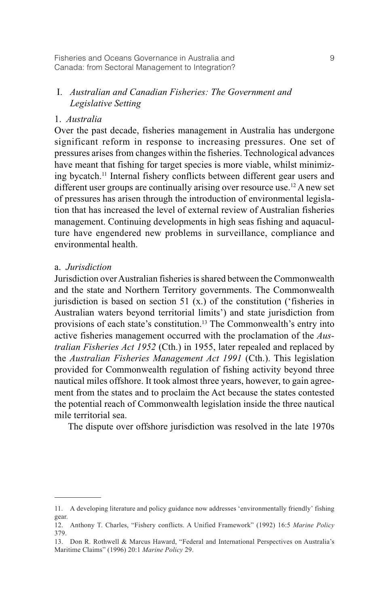Fisheries and Oceans Governance in Australia and 9 Canada: from Sectoral Management to Integration?

# I. *Australian and Canadian Fisheries: The Government and Legislative Setting*

## 1. *Australia*

Over the past decade, fisheries management in Australia has undergone significant reform in response to increasing pressures. One set of pressures arises from changes within the fisheries. Technological advances have meant that fishing for target species is more viable, whilst minimizing bycatch.11 Internal fishery conflicts between different gear users and different user groups are continually arising over resource use.12 A new set of pressures has arisen through the introduction of environmental legislation that has increased the level of external review of Australian fisheries management. Continuing developments in high seas fishing and aquaculture have engendered new problems in surveillance, compliance and environmental health.

### a. *Jurisdiction*

Jurisdiction over Australian fisheries is shared between the Commonwealth and the state and Northern Territory governments. The Commonwealth jurisdiction is based on section 51  $(x)$  of the constitution ('fisheries in Australian waters beyond territorial limits') and state jurisdiction from provisions of each state's constitution.13 The Commonwealth's entry into active fisheries management occurred with the proclamation of the *Australian Fisheries Act 1952* (Cth.) in 1955, later repealed and replaced by the *Australian Fisheries Management Act 1991* (Cth.). This legislation provided for Commonwealth regulation of fishing activity beyond three nautical miles offshore. It took almost three years, however, to gain agreement from the states and to proclaim the Act because the states contested the potential reach of Commonwealth legislation inside the three nautical mile territorial sea.

The dispute over offshore jurisdiction was resolved in the late 1970s

<sup>11.</sup> A developing literature and policy guidance now addresses 'environmentally friendly' fishing gear.

<sup>12.</sup> Anthony T. Charles, "Fishery conflicts. A Unified Framework" (1992) 16:5 *Marine Policy* 379.

<sup>13.</sup> Don R. Rothwell & Marcus Haward, "Federal and International Perspectives on Australia's Maritime Claims" (1996) 20:1 *Marine Policy* 29.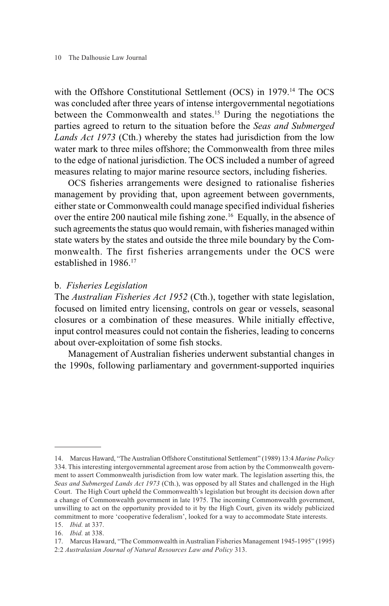with the Offshore Constitutional Settlement (OCS) in 1979.14 The OCS was concluded after three years of intense intergovernmental negotiations between the Commonwealth and states.<sup>15</sup> During the negotiations the parties agreed to return to the situation before the *Seas and Submerged Lands Act 1973* (Cth.) whereby the states had jurisdiction from the low water mark to three miles offshore; the Commonwealth from three miles to the edge of national jurisdiction. The OCS included a number of agreed measures relating to major marine resource sectors, including fisheries.

OCS fisheries arrangements were designed to rationalise fisheries management by providing that, upon agreement between governments, either state or Commonwealth could manage specified individual fisheries over the entire 200 nautical mile fishing zone.<sup>16</sup> Equally, in the absence of such agreements the status quo would remain, with fisheries managed within state waters by the states and outside the three mile boundary by the Commonwealth. The first fisheries arrangements under the OCS were established in 1986.17

### b. *Fisheries Legislation*

The *Australian Fisheries Act 1952* (Cth.), together with state legislation, focused on limited entry licensing, controls on gear or vessels, seasonal closures or a combination of these measures. While initially effective, input control measures could not contain the fisheries, leading to concerns about over-exploitation of some fish stocks.

Management of Australian fisheries underwent substantial changes in the 1990s, following parliamentary and government-supported inquiries

<sup>14.</sup> Marcus Haward, "The Australian Offshore Constitutional Settlement" (1989) 13:4 *Marine Policy* 334. This interesting intergovernmental agreement arose from action by the Commonwealth government to assert Commonwealth jurisdiction from low water mark. The legislation asserting this, the *Seas and Submerged Lands Act 1973* (Cth.), was opposed by all States and challenged in the High Court. The High Court upheld the Commonwealth's legislation but brought its decision down after a change of Commonwealth government in late 1975. The incoming Commonwealth government, unwilling to act on the opportunity provided to it by the High Court, given its widely publicized commitment to more 'cooperative federalism', looked for a way to accommodate State interests.

<sup>15.</sup> *Ibid.* at 337.

<sup>16.</sup> *Ibid.* at 338.

<sup>17.</sup> Marcus Haward, "The Commonwealth in Australian Fisheries Management 1945-1995" (1995)

<sup>2:2</sup> *Australasian Journal of Natural Resources Law and Policy* 313.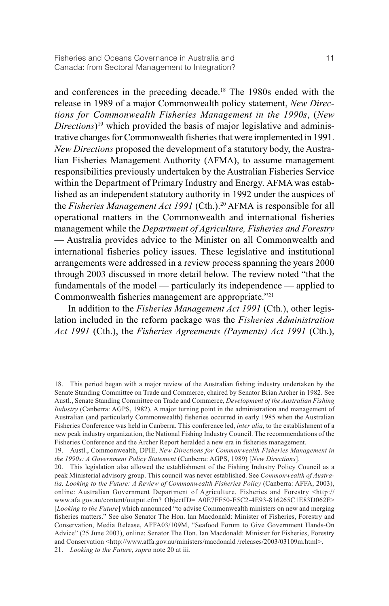and conferences in the preceding decade.18 The 1980s ended with the release in 1989 of a major Commonwealth policy statement, *New Directions for Commonwealth Fisheries Management in the 1990s*, (*New Directions*)19 which provided the basis of major legislative and administrative changes for Commonwealth fisheries that were implemented in 1991. *New Directions* proposed the development of a statutory body, the Australian Fisheries Management Authority (AFMA), to assume management responsibilities previously undertaken by the Australian Fisheries Service within the Department of Primary Industry and Energy. AFMA was established as an independent statutory authority in 1992 under the auspices of the *Fisheries Management Act 1991* (Cth.).<sup>20</sup> AFMA is responsible for all operational matters in the Commonwealth and international fisheries management while the *Department of Agriculture, Fisheries and Forestry* — Australia provides advice to the Minister on all Commonwealth and international fisheries policy issues. These legislative and institutional arrangements were addressed in a review process spanning the years 2000 through 2003 discussed in more detail below. The review noted "that the fundamentals of the model — particularly its independence — applied to Commonwealth fisheries management are appropriate."21

In addition to the *Fisheries Management Act 1991* (Cth.), other legislation included in the reform package was the *Fisheries Administration Act 1991* (Cth.), the *Fisheries Agreements (Payments) Act 1991* (Cth.),

<sup>18.</sup> This period began with a major review of the Australian fishing industry undertaken by the Senate Standing Committee on Trade and Commerce, chaired by Senator Brian Archer in 1982. See Austl., Senate Standing Committee on Trade and Commerce, *Development of the Australian Fishing Industry* (Canberra: AGPS, 1982). A major turning point in the administration and management of Australian (and particularly Commonwealth) fisheries occurred in early 1985 when the Australian Fisheries Conference was held in Canberra. This conference led, *inter alia*, to the establishment of a new peak industry organization, the National Fishing Industry Council. The recommendations of the Fisheries Conference and the Archer Report heralded a new era in fisheries management.

<sup>19.</sup> Austl., Commonwealth, DPIE, *New Directions for Commonwealth Fisheries Management in the 1990s: A Government Policy Statement* (Canberra: AGPS, 1989) [*New Directions*].

<sup>20.</sup> This legislation also allowed the establishment of the Fishing Industry Policy Council as a peak Ministerial advisory group. This council was never established. See *Commonwealth of Australia, Looking to the Future: A Review of Commonwealth Fisheries Policy* (Canberra: AFFA, 2003), online: Australian Government Department of Agriculture, Fisheries and Forestry <http:// www.afa.gov.au/content/output.cfm? ObjectID= A0E7FF50-E5C2-4E93-816265C1E83D062F> [*Looking to the Future*] which announced "to advise Commonwealth ministers on new and merging fisheries matters." See also Senator The Hon. Ian Macdonald: Minister of Fisheries, Forestry and Conservation, Media Release, AFFA03/109M, "Seafood Forum to Give Government Hands-On Advice" (25 June 2003), online: Senator The Hon. Ian Macdonald: Minister for Fisheries, Forestry and Conservation <http://www.affa.gov.au/ministers/macdonald /releases/2003/03109m.html>. 21. *Looking to the Future*, *supra* note 20 at iii.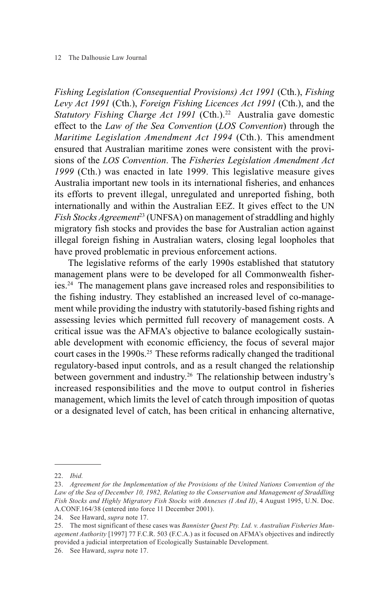#### 12 The Dalhousie Law Journal

*Fishing Legislation (Consequential Provisions) Act 1991* (Cth.), *Fishing Levy Act 1991* (Cth.), *Foreign Fishing Licences Act 1991* (Cth.), and the *Statutory Fishing Charge Act 1991* (Cth.).<sup>22</sup> Australia gave domestic effect to the *Law of the Sea Convention* (*LOS Convention*) through the *Maritime Legislation Amendment Act 1994* (Cth.). This amendment ensured that Australian maritime zones were consistent with the provisions of the *LOS Convention*. The *Fisheries Legislation Amendment Act 1999* (Cth.) was enacted in late 1999. This legislative measure gives Australia important new tools in its international fisheries, and enhances its efforts to prevent illegal, unregulated and unreported fishing, both internationally and within the Australian EEZ. It gives effect to the UN *Fish Stocks Agreement*<sup>23</sup> (UNFSA) on management of straddling and highly migratory fish stocks and provides the base for Australian action against illegal foreign fishing in Australian waters, closing legal loopholes that have proved problematic in previous enforcement actions.

The legislative reforms of the early 1990s established that statutory management plans were to be developed for all Commonwealth fisheries.24 The management plans gave increased roles and responsibilities to the fishing industry. They established an increased level of co-management while providing the industry with statutorily-based fishing rights and assessing levies which permitted full recovery of management costs. A critical issue was the AFMA's objective to balance ecologically sustainable development with economic efficiency, the focus of several major court cases in the 1990s.<sup>25</sup> These reforms radically changed the traditional regulatory-based input controls, and as a result changed the relationship between government and industry.<sup>26</sup> The relationship between industry's increased responsibilities and the move to output control in fisheries management, which limits the level of catch through imposition of quotas or a designated level of catch, has been critical in enhancing alternative,

<sup>22.</sup> *Ibid.*

<sup>23.</sup> *Agreement for the Implementation of the Provisions of the United Nations Convention of the Law of the Sea of December 10, 1982, Relating to the Conservation and Management of Straddling Fish Stocks and Highly Migratory Fish Stocks with Annexes (I And II)*, 4 August 1995, U.N. Doc. A.CONF.164/38 (entered into force 11 December 2001).

<sup>24.</sup> See Haward, *supra* note 17.

<sup>25.</sup> The most significant of these cases was *Bannister Quest Pty. Ltd. v. Australian Fisheries Management Authority* [1997] 77 F.C.R. 503 (F.C.A.) as it focused on AFMA's objectives and indirectly provided a judicial interpretation of Ecologically Sustainable Development.

<sup>26.</sup> See Haward, *supra* note 17.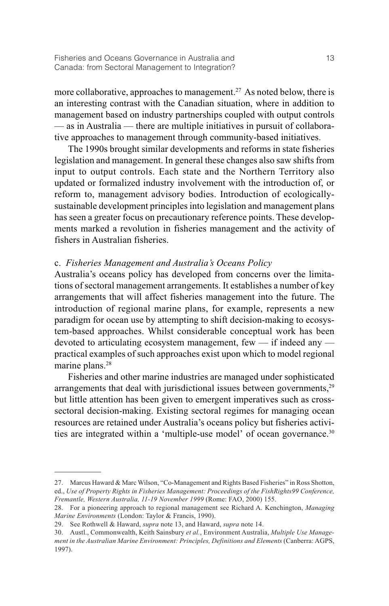more collaborative, approaches to management.<sup>27</sup> As noted below, there is an interesting contrast with the Canadian situation, where in addition to management based on industry partnerships coupled with output controls — as in Australia — there are multiple initiatives in pursuit of collaborative approaches to management through community-based initiatives.

The 1990s brought similar developments and reforms in state fisheries legislation and management. In general these changes also saw shifts from input to output controls. Each state and the Northern Territory also updated or formalized industry involvement with the introduction of, or reform to, management advisory bodies. Introduction of ecologicallysustainable development principles into legislation and management plans has seen a greater focus on precautionary reference points. These developments marked a revolution in fisheries management and the activity of fishers in Australian fisheries.

### c. *Fisheries Management and Australia's Oceans Policy*

Australia's oceans policy has developed from concerns over the limitations of sectoral management arrangements. It establishes a number of key arrangements that will affect fisheries management into the future. The introduction of regional marine plans, for example, represents a new paradigm for ocean use by attempting to shift decision-making to ecosystem-based approaches. Whilst considerable conceptual work has been devoted to articulating ecosystem management, few  $-$  if indeed any  $$ practical examples of such approaches exist upon which to model regional marine plans.<sup>28</sup>

Fisheries and other marine industries are managed under sophisticated arrangements that deal with jurisdictional issues between governments,<sup>29</sup> but little attention has been given to emergent imperatives such as crosssectoral decision-making. Existing sectoral regimes for managing ocean resources are retained under Australia's oceans policy but fisheries activities are integrated within a 'multiple-use model' of ocean governance.<sup>30</sup>

<sup>27.</sup> Marcus Haward & Marc Wilson, "Co-Management and Rights Based Fisheries" in Ross Shotton, ed., *Use of Property Rights in Fisheries Management: Proceedings of the FishRights99 Conference, Fremantle, Western Australia, 11-19 November 1999* (Rome: FAO, 2000) 155.

<sup>28.</sup> For a pioneering approach to regional management see Richard A. Kenchington, *Managing Marine Environments* (London: Taylor & Francis, 1990).

<sup>29.</sup> See Rothwell & Haward, *supra* note 13, and Haward, *supra* note 14.

<sup>30.</sup> Austl., Commonwealth, Keith Sainsbury *et al.*, Environment Australia, *Multiple Use Management in the Australian Marine Environment: Principles, Definitions and Elements* (Canberra: AGPS, 1997).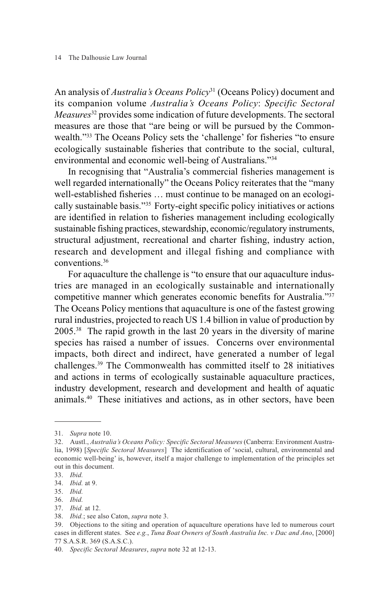An analysis of *Australia's Oceans Policy*<sup>31</sup> (Oceans Policy) document and its companion volume *Australia's Oceans Policy*: *Specific Sectoral Measures*<sup>32</sup> provides some indication of future developments. The sectoral measures are those that "are being or will be pursued by the Commonwealth."33 The Oceans Policy sets the 'challenge' for fisheries "to ensure ecologically sustainable fisheries that contribute to the social, cultural, environmental and economic well-being of Australians."34

In recognising that "Australia's commercial fisheries management is well regarded internationally" the Oceans Policy reiterates that the "many well-established fisheries … must continue to be managed on an ecologically sustainable basis."35 Forty-eight specific policy initiatives or actions are identified in relation to fisheries management including ecologically sustainable fishing practices, stewardship, economic/regulatory instruments, structural adjustment, recreational and charter fishing, industry action, research and development and illegal fishing and compliance with conventions.36

For aquaculture the challenge is "to ensure that our aquaculture industries are managed in an ecologically sustainable and internationally competitive manner which generates economic benefits for Australia."37 The Oceans Policy mentions that aquaculture is one of the fastest growing rural industries, projected to reach US 1.4 billion in value of production by 2005.38 The rapid growth in the last 20 years in the diversity of marine species has raised a number of issues. Concerns over environmental impacts, both direct and indirect, have generated a number of legal challenges.39 The Commonwealth has committed itself to 28 initiatives and actions in terms of ecologically sustainable aquaculture practices, industry development, research and development and health of aquatic animals.40 These initiatives and actions, as in other sectors, have been

<sup>31.</sup> *Supra* note 10.

<sup>32.</sup> Austl., *Australia's Oceans Policy: Specific Sectoral Measures* (Canberra: Environment Australia, 1998) [*Specific Sectoral Measures*] The identification of 'social, cultural, environmental and economic well-being' is, however, itself a major challenge to implementation of the principles set out in this document.

<sup>33.</sup> *Ibid.*

<sup>34.</sup> *Ibid.* at 9.

<sup>35.</sup> *Ibid.*

<sup>36.</sup> *Ibid.*

<sup>37.</sup> *Ibid.* at 12.

<sup>38.</sup> *Ibid.*; see also Caton, *supra* note 3.

<sup>39.</sup> Objections to the siting and operation of aquaculture operations have led to numerous court cases in different states. See *e.g.*, *Tuna Boat Owners of South Australia Inc. v Dac and Ano*, [2000] 77 S.A.S.R. 369 (S.A.S.C.).

<sup>40.</sup> *Specific Sectoral Measures*, *supra* note 32 at 12-13.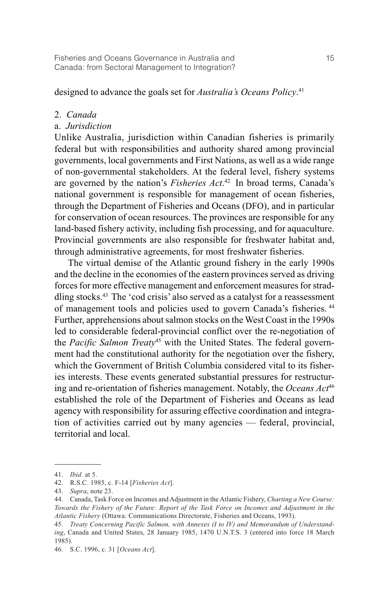designed to advance the goals set for *Australia's Oceans Policy*. 41

### 2. *Canada*

### a. *Jurisdiction*

Unlike Australia, jurisdiction within Canadian fisheries is primarily federal but with responsibilities and authority shared among provincial governments, local governments and First Nations, as well as a wide range of non-governmental stakeholders. At the federal level, fishery systems are governed by the nation's *Fisheries Act*. 42 In broad terms, Canada's national government is responsible for management of ocean fisheries, through the Department of Fisheries and Oceans (DFO), and in particular for conservation of ocean resources. The provinces are responsible for any land-based fishery activity, including fish processing, and for aquaculture. Provincial governments are also responsible for freshwater habitat and, through administrative agreements, for most freshwater fisheries.

The virtual demise of the Atlantic ground fishery in the early 1990s and the decline in the economies of the eastern provinces served as driving forces for more effective management and enforcement measures for straddling stocks.43 The 'cod crisis' also served as a catalyst for a reassessment of management tools and policies used to govern Canada's fisheries. <sup>44</sup> Further, apprehensions about salmon stocks on the West Coast in the 1990s led to considerable federal-provincial conflict over the re-negotiation of the *Pacific Salmon Treaty*<sup>45</sup> with the United States. The federal government had the constitutional authority for the negotiation over the fishery, which the Government of British Columbia considered vital to its fisheries interests. These events generated substantial pressures for restructuring and re-orientation of fisheries management. Notably, the *Oceans Act*<sup>46</sup> established the role of the Department of Fisheries and Oceans as lead agency with responsibility for assuring effective coordination and integration of activities carried out by many agencies — federal, provincial, territorial and local.

<sup>41.</sup> *Ibid.* at 5.

<sup>42.</sup> R.S.C. 1985, c. F-14 [*Fisheries Act*].

<sup>43.</sup> *Supra*, note 23.

<sup>44.</sup> Canada, Task Force on Incomes and Adjustment in the Atlantic Fishery, *Charting a New Course: Towards the Fishery of the Future: Report of the Task Force on Incomes and Adjustment in the Atlantic Fishery* (Ottawa: Communications Directorate, Fisheries and Oceans, 1993).

<sup>45.</sup> *Treaty Concerning Pacific Salmon, with Annexes (I to IV) and Memorandum of Understanding*, Canada and United States, 28 January 1985, 1470 U.N.T.S. 3 (entered into force 18 March 1985).

<sup>46.</sup> S.C. 1996, c. 31 [*Oceans Act*].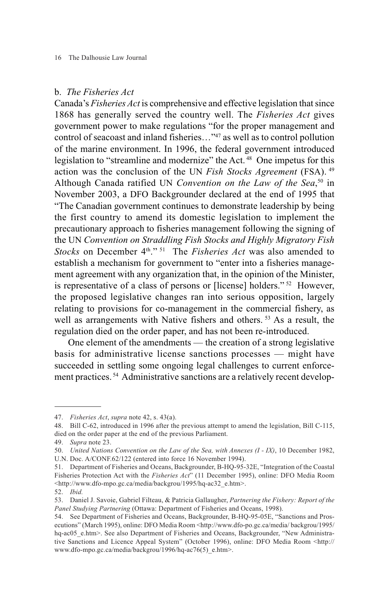### b. *The Fisheries Act*

Canada's *Fisheries Act* is comprehensive and effective legislation that since 1868 has generally served the country well. The *Fisheries Act* gives government power to make regulations "for the proper management and control of seacoast and inland fisheries…"47 as well as to control pollution of the marine environment. In 1996, the federal government introduced legislation to "streamline and modernize" the Act.<sup>48</sup> One impetus for this action was the conclusion of the UN *Fish Stocks Agreement* (FSA). <sup>49</sup> Although Canada ratified UN *Convention on the Law of the Sea*, <sup>50</sup> in November 2003, a DFO Backgrounder declared at the end of 1995 that "The Canadian government continues to demonstrate leadership by being the first country to amend its domestic legislation to implement the precautionary approach to fisheries management following the signing of the UN *Convention on Straddling Fish Stocks and Highly Migratory Fish Stocks* on December 4<sup>th</sup>."<sup>51</sup> The *Fisheries Act* was also amended to establish a mechanism for government to "enter into a fisheries management agreement with any organization that, in the opinion of the Minister, is representative of a class of persons or [license] holders." <sup>52</sup> However, the proposed legislative changes ran into serious opposition, largely relating to provisions for co-management in the commercial fishery, as well as arrangements with Native fishers and others.<sup>53</sup> As a result, the regulation died on the order paper, and has not been re-introduced.

One element of the amendments — the creation of a strong legislative basis for administrative license sanctions processes — might have succeeded in settling some ongoing legal challenges to current enforcement practices. <sup>54</sup> Administrative sanctions are a relatively recent develop-

<sup>47.</sup> *Fisheries Act*, *supra* note 42, s. 43(a).

<sup>48.</sup> Bill C-62, introduced in 1996 after the previous attempt to amend the legislation, Bill C-115, died on the order paper at the end of the previous Parliament.

<sup>49.</sup> *Supra* note 23.

<sup>50.</sup> *United Nations Convention on the Law of the Sea, with Annexes (I - IX)*, 10 December 1982,

U.N. Doc. A/CONF.62/122 (entered into force 16 November 1994).

<sup>51.</sup> Department of Fisheries and Oceans, Backgrounder, B-HQ-95-32E, "Integration of the Coastal Fisheries Protection Act with the *Fisheries Act*" (11 December 1995), online: DFO Media Room <http://www.dfo-mpo.gc.ca/media/backgrou/1995/hq-ac32\_e.htm>.

<sup>52.</sup> *Ibid.*

<sup>53.</sup> Daniel J. Savoie, Gabriel Filteau, & Patricia Gallaugher, *Partnering the Fishery: Report of the Panel Studying Partnering* (Ottawa: Department of Fisheries and Oceans, 1998).

<sup>54.</sup> See Department of Fisheries and Oceans, Backgrounder, B-HQ-95-05E, "Sanctions and Prosecutions" (March 1995), online: DFO Media Room <http://www.dfo-po.gc.ca/media/ backgrou/1995/ hq-ac05 e.htm>. See also Department of Fisheries and Oceans, Backgrounder, "New Administrative Sanctions and Licence Appeal System" (October 1996), online: DFO Media Room <http:// www.dfo-mpo.gc.ca/media/backgrou/1996/hq-ac76(5) e.htm>.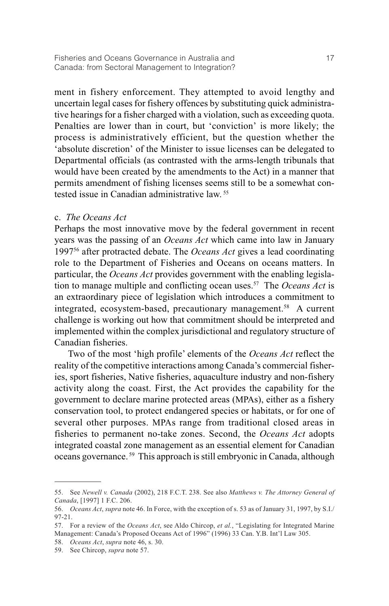ment in fishery enforcement. They attempted to avoid lengthy and uncertain legal cases for fishery offences by substituting quick administrative hearings for a fisher charged with a violation, such as exceeding quota. Penalties are lower than in court, but 'conviction' is more likely; the process is administratively efficient, but the question whether the 'absolute discretion' of the Minister to issue licenses can be delegated to Departmental officials (as contrasted with the arms-length tribunals that would have been created by the amendments to the Act) in a manner that permits amendment of fishing licenses seems still to be a somewhat contested issue in Canadian administrative law. 55

### c. *The Oceans Act*

Perhaps the most innovative move by the federal government in recent years was the passing of an *Oceans Act* which came into law in January 199756 after protracted debate. The *Oceans Act* gives a lead coordinating role to the Department of Fisheries and Oceans on oceans matters. In particular, the *Oceans Act* provides government with the enabling legislation to manage multiple and conflicting ocean uses.57 The *Oceans Act* is an extraordinary piece of legislation which introduces a commitment to integrated, ecosystem-based, precautionary management.58 A current challenge is working out how that commitment should be interpreted and implemented within the complex jurisdictional and regulatory structure of Canadian fisheries.

Two of the most 'high profile' elements of the *Oceans Act* reflect the reality of the competitive interactions among Canada's commercial fisheries, sport fisheries, Native fisheries, aquaculture industry and non-fishery activity along the coast. First, the Act provides the capability for the government to declare marine protected areas (MPAs), either as a fishery conservation tool, to protect endangered species or habitats, or for one of several other purposes. MPAs range from traditional closed areas in fisheries to permanent no-take zones. Second, the *Oceans Act* adopts integrated coastal zone management as an essential element for Canadian oceans governance. <sup>59</sup> This approach is still embryonic in Canada, although

<sup>55.</sup> See *Newell v. Canada* (2002), 218 F.C.T. 238. See also *Matthews v. The Attorney General of Canada*, [1997] 1 F.C. 206.

<sup>56.</sup> *Oceans Act*, *supra* note 46. In Force, with the exception of s. 53 as of January 31, 1997, by S.I./ 97-21.

<sup>57.</sup> For a review of the *Oceans Act*, see Aldo Chircop, *et al.*, "Legislating for Integrated Marine Management: Canada's Proposed Oceans Act of 1996" (1996) 33 Can. Y.B. Int'l Law 305.

<sup>58.</sup> *Oceans Act*, *supra* note 46, s. 30.

<sup>59.</sup> See Chircop, *supra* note 57.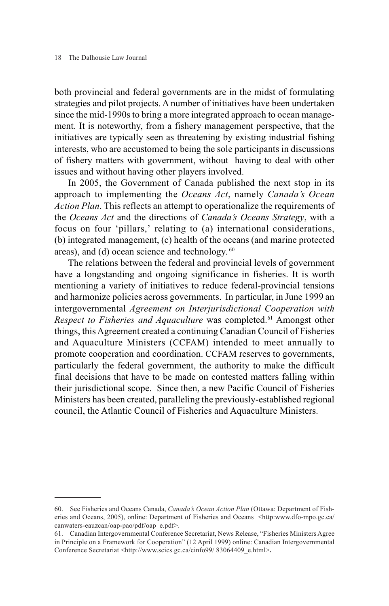both provincial and federal governments are in the midst of formulating strategies and pilot projects. A number of initiatives have been undertaken since the mid-1990s to bring a more integrated approach to ocean management. It is noteworthy, from a fishery management perspective, that the initiatives are typically seen as threatening by existing industrial fishing interests, who are accustomed to being the sole participants in discussions of fishery matters with government, without having to deal with other issues and without having other players involved.

In 2005, the Government of Canada published the next stop in its approach to implementing the *Oceans Act*, namely *Canada's Ocean Action Plan*. This reflects an attempt to operationalize the requirements of the *Oceans Act* and the directions of *Canada's Oceans Strategy*, with a focus on four 'pillars,' relating to (a) international considerations, (b) integrated management, (c) health of the oceans (and marine protected areas), and (d) ocean science and technology.  $60$ 

The relations between the federal and provincial levels of government have a longstanding and ongoing significance in fisheries. It is worth mentioning a variety of initiatives to reduce federal-provincial tensions and harmonize policies across governments. In particular, in June 1999 an intergovernmental *Agreement on Interjurisdictional Cooperation with Respect to Fisheries and Aquaculture* was completed.<sup>61</sup> Amongst other things, this Agreement created a continuing Canadian Council of Fisheries and Aquaculture Ministers (CCFAM) intended to meet annually to promote cooperation and coordination. CCFAM reserves to governments, particularly the federal government, the authority to make the difficult final decisions that have to be made on contested matters falling within their jurisdictional scope. Since then, a new Pacific Council of Fisheries Ministers has been created, paralleling the previously-established regional council, the Atlantic Council of Fisheries and Aquaculture Ministers.

<sup>60.</sup> See Fisheries and Oceans Canada, *Canada's Ocean Action Plan* (Ottawa: Department of Fisheries and Oceans, 2005), online: Department of Fisheries and Oceans <http:www.dfo-mpo.gc.ca/ canwaters-eauzcan/oap-pao/pdf/oap\_e.pdf>.

<sup>61.</sup> Canadian Intergovernmental Conference Secretariat, News Release, "Fisheries Ministers Agree in Principle on a Framework for Cooperation" (12 April 1999) online: Canadian Intergovernmental Conference Secretariat <http://www.scics.gc.ca/cinfo99/ 83064409\_e.html>.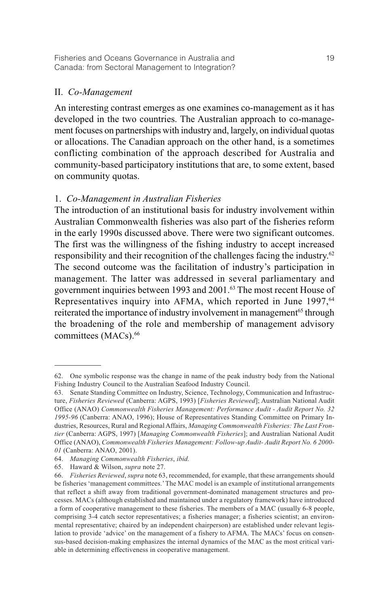## II. *Co-Management*

An interesting contrast emerges as one examines co-management as it has developed in the two countries. The Australian approach to co-management focuses on partnerships with industry and, largely, on individual quotas or allocations. The Canadian approach on the other hand, is a sometimes conflicting combination of the approach described for Australia and community-based participatory institutions that are, to some extent, based on community quotas.

# 1. *Co-Management in Australian Fisheries*

The introduction of an institutional basis for industry involvement within Australian Commonwealth fisheries was also part of the fisheries reform in the early 1990s discussed above. There were two significant outcomes. The first was the willingness of the fishing industry to accept increased responsibility and their recognition of the challenges facing the industry.62 The second outcome was the facilitation of industry's participation in management. The latter was addressed in several parliamentary and government inquiries between 1993 and 2001.<sup>63</sup> The most recent House of Representatives inquiry into AFMA, which reported in June 1997,<sup>64</sup> reiterated the importance of industry involvement in management<sup>65</sup> through the broadening of the role and membership of management advisory committees (MACs).<sup>66</sup>

<sup>62.</sup> One symbolic response was the change in name of the peak industry body from the National Fishing Industry Council to the Australian Seafood Industry Council.

<sup>63.</sup> Senate Standing Committee on Industry, Science, Technology, Communication and Infrastructure, *Fisheries Reviewed* (Canberra: AGPS, 1993) [*Fisheries Reviewed*]; Australian National Audit Office (ANAO) *Commonwealth Fisheries Management: Performance Audit - Audit Report No. 32 1995-96* (Canberra: ANAO, 1996); House of Representatives Standing Committee on Primary Industries, Resources, Rural and Regional Affairs, *Managing Commonwealth Fisheries: The Last Frontier* (Canberra: AGPS, 1997) [*Managing Commonwealth Fisheries*]; and Australian National Audit Office (ANAO), *Commonwealth Fisheries Management: Follow-up Audit- Audit Report No. 6 2000- 01* (Canberra: ANAO, 2001).

<sup>64.</sup> *Managing Commonwealth Fisheries*, *ibid.*

<sup>65.</sup> Haward & Wilson, *supra* note 27.

<sup>66.</sup> *Fisheries Reviewed*, *supra* note 63, recommended, for example, that these arrangements should be fisheries 'management committees.' The MAC model is an example of institutional arrangements that reflect a shift away from traditional government-dominated management structures and processes. MACs (although established and maintained under a regulatory framework) have introduced a form of cooperative management to these fisheries. The members of a MAC (usually 6-8 people, comprising 3-4 catch sector representatives; a fisheries manager; a fisheries scientist; an environmental representative; chaired by an independent chairperson) are established under relevant legislation to provide 'advice' on the management of a fishery to AFMA. The MACs' focus on consensus-based decision-making emphasizes the internal dynamics of the MAC as the most critical variable in determining effectiveness in cooperative management.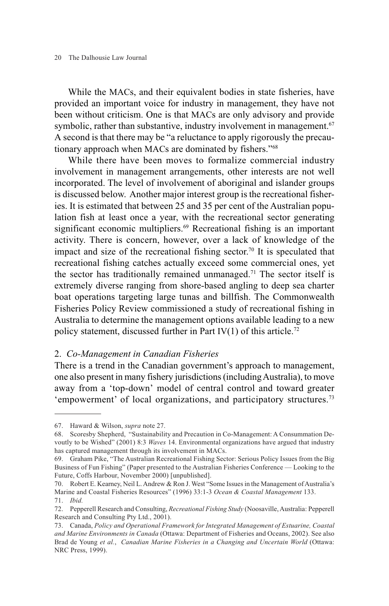While the MACs, and their equivalent bodies in state fisheries, have provided an important voice for industry in management, they have not been without criticism. One is that MACs are only advisory and provide symbolic, rather than substantive, industry involvement in management.<sup>67</sup> A second is that there may be "a reluctance to apply rigorously the precautionary approach when MACs are dominated by fishers."68

While there have been moves to formalize commercial industry involvement in management arrangements, other interests are not well incorporated. The level of involvement of aboriginal and islander groups is discussed below. Another major interest group is the recreational fisheries. It is estimated that between 25 and 35 per cent of the Australian population fish at least once a year, with the recreational sector generating significant economic multipliers.<sup>69</sup> Recreational fishing is an important activity. There is concern, however, over a lack of knowledge of the impact and size of the recreational fishing sector.<sup>70</sup> It is speculated that recreational fishing catches actually exceed some commercial ones, yet the sector has traditionally remained unmanaged.<sup>71</sup> The sector itself is extremely diverse ranging from shore-based angling to deep sea charter boat operations targeting large tunas and billfish. The Commonwealth Fisheries Policy Review commissioned a study of recreational fishing in Australia to determine the management options available leading to a new policy statement, discussed further in Part IV $(1)$  of this article.<sup>72</sup>

### 2. *Co-Management in Canadian Fisheries*

There is a trend in the Canadian government's approach to management, one also present in many fishery jurisdictions (including Australia), to move away from a 'top-down' model of central control and toward greater 'empowerment' of local organizations, and participatory structures.<sup>73</sup>

<sup>67.</sup> Haward & Wilson, *supra* note 27.

<sup>68.</sup> Scoresby Shepherd, "Sustainability and Precaution in Co-Management: A Consummation Devoutly to be Wished" (2001) 8:3 *Waves* 14. Environmental organizations have argued that industry has captured management through its involvement in MACs.

<sup>69.</sup> Graham Pike, "The Australian Recreational Fishing Sector: Serious Policy Issues from the Big Business of Fun Fishing" (Paper presented to the Australian Fisheries Conference — Looking to the Future, Coffs Harbour, November 2000) [unpublished].

<sup>70.</sup> Robert E. Kearney, Neil L. Andrew & Ron J. West "Some Issues in the Management of Australia's Marine and Coastal Fisheries Resources" (1996) 33:1-3 *Ocean & Coastal Management* 133. 71. *Ibid.*

<sup>72.</sup> Pepperell Research and Consulting, *Recreational Fishing Study* (Noosaville, Australia: Pepperell Research and Consulting Pty Ltd., 2001).

<sup>73.</sup> Canada, *Policy and Operational Framework for Integrated Management of Estuarine, Coastal and Marine Environments in Canada* (Ottawa: Department of Fisheries and Oceans, 2002). See also Brad de Young *et al.*, *Canadian Marine Fisheries in a Changing and Uncertain World* (Ottawa: NRC Press, 1999).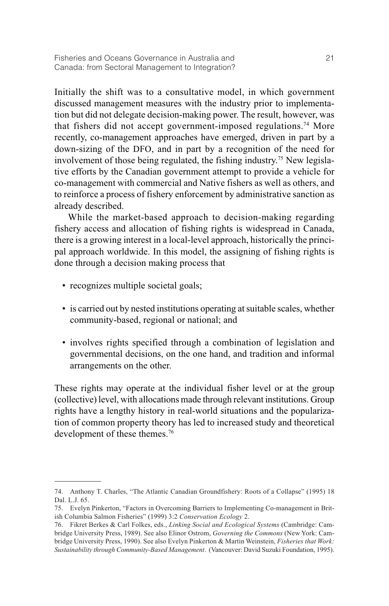Initially the shift was to a consultative model, in which government discussed management measures with the industry prior to implementation but did not delegate decision-making power. The result, however, was that fishers did not accept government-imposed regulations.<sup>74</sup> More recently, co-management approaches have emerged, driven in part by a down-sizing of the DFO, and in part by a recognition of the need for involvement of those being regulated, the fishing industry.75 New legislative efforts by the Canadian government attempt to provide a vehicle for co-management with commercial and Native fishers as well as others, and to reinforce a process of fishery enforcement by administrative sanction as already described.

While the market-based approach to decision-making regarding fishery access and allocation of fishing rights is widespread in Canada, there is a growing interest in a local-level approach, historically the principal approach worldwide. In this model, the assigning of fishing rights is done through a decision making process that

- recognizes multiple societal goals;
- is carried out by nested institutions operating at suitable scales, whether community-based, regional or national; and
- involves rights specified through a combination of legislation and governmental decisions, on the one hand, and tradition and informal arrangements on the other.

These rights may operate at the individual fisher level or at the group (collective) level, with allocations made through relevant institutions. Group rights have a lengthy history in real-world situations and the popularization of common property theory has led to increased study and theoretical development of these themes.<sup>76</sup>

<sup>74.</sup> Anthony T. Charles, "The Atlantic Canadian Groundfishery: Roots of a Collapse" (1995) 18 Dal. L.J. 65.

<sup>75.</sup> Evelyn Pinkerton, "Factors in Overcoming Barriers to Implementing Co-management in British Columbia Salmon Fisheries" (1999) 3:2 *Conservation Ecology* 2.

<sup>76.</sup> Fikret Berkes & Carl Folkes, eds., *Linking Social and Ecological Systems* (Cambridge: Cambridge University Press, 1989). See also Elinor Ostrom, *Governing the Commons* (New York: Cambridge University Press, 1990). See also Evelyn Pinkerton & Martin Weinstein, *Fisheries that Work: Sustainability through Community-Based Management*. (Vancouver: David Suzuki Foundation, 1995).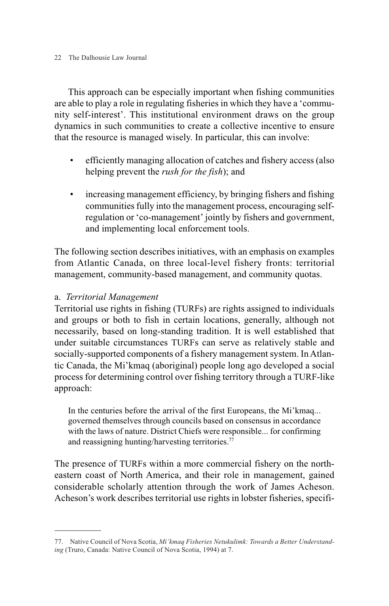22 The Dalhousie Law Journal

This approach can be especially important when fishing communities are able to play a role in regulating fisheries in which they have a 'community self-interest'. This institutional environment draws on the group dynamics in such communities to create a collective incentive to ensure that the resource is managed wisely. In particular, this can involve:

- efficiently managing allocation of catches and fishery access (also helping prevent the *rush for the fish*); and
- increasing management efficiency, by bringing fishers and fishing communities fully into the management process, encouraging selfregulation or 'co-management' jointly by fishers and government, and implementing local enforcement tools.

The following section describes initiatives, with an emphasis on examples from Atlantic Canada, on three local-level fishery fronts: territorial management, community-based management, and community quotas.

# a. *Territorial Management*

Territorial use rights in fishing (TURFs) are rights assigned to individuals and groups or both to fish in certain locations, generally, although not necessarily, based on long-standing tradition. It is well established that under suitable circumstances TURFs can serve as relatively stable and socially-supported components of a fishery management system. In Atlantic Canada, the Mi'kmaq (aboriginal) people long ago developed a social process for determining control over fishing territory through a TURF-like approach:

In the centuries before the arrival of the first Europeans, the Mi'kmaq... governed themselves through councils based on consensus in accordance with the laws of nature. District Chiefs were responsible... for confirming and reassigning hunting/harvesting territories.<sup>77</sup>

The presence of TURFs within a more commercial fishery on the northeastern coast of North America, and their role in management, gained considerable scholarly attention through the work of James Acheson. Acheson's work describes territorial use rights in lobster fisheries, specifi-

<sup>77.</sup> Native Council of Nova Scotia, *Mi'kmaq Fisheries Netukulimk: Towards a Better Understanding* (Truro, Canada: Native Council of Nova Scotia, 1994) at 7.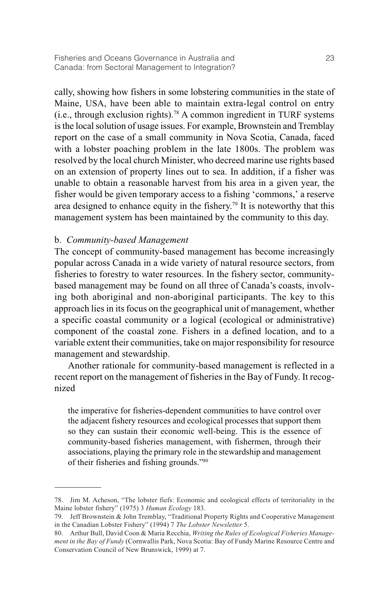cally, showing how fishers in some lobstering communities in the state of Maine, USA, have been able to maintain extra-legal control on entry (i.e., through exclusion rights).78 A common ingredient in TURF systems is the local solution of usage issues. For example, Brownstein and Tremblay report on the case of a small community in Nova Scotia, Canada, faced with a lobster poaching problem in the late 1800s. The problem was resolved by the local church Minister, who decreed marine use rights based on an extension of property lines out to sea. In addition, if a fisher was unable to obtain a reasonable harvest from his area in a given year, the fisher would be given temporary access to a fishing 'commons,' a reserve area designed to enhance equity in the fishery.79 It is noteworthy that this management system has been maintained by the community to this day.

## b. *Community-based Management*

The concept of community-based management has become increasingly popular across Canada in a wide variety of natural resource sectors, from fisheries to forestry to water resources. In the fishery sector, communitybased management may be found on all three of Canada's coasts, involving both aboriginal and non-aboriginal participants. The key to this approach lies in its focus on the geographical unit of management, whether a specific coastal community or a logical (ecological or administrative) component of the coastal zone. Fishers in a defined location, and to a variable extent their communities, take on major responsibility for resource management and stewardship.

Another rationale for community-based management is reflected in a recent report on the management of fisheries in the Bay of Fundy. It recognized

the imperative for fisheries-dependent communities to have control over the adjacent fishery resources and ecological processes that support them so they can sustain their economic well-being. This is the essence of community-based fisheries management, with fishermen, through their associations, playing the primary role in the stewardship and management of their fisheries and fishing grounds."80

<sup>78.</sup> Jim M. Acheson, "The lobster fiefs: Economic and ecological effects of territoriality in the Maine lobster fishery" (1975) 3 *Human Ecology* 183.

<sup>79.</sup> Jeff Brownstein & John Tremblay, "Traditional Property Rights and Cooperative Management in the Canadian Lobster Fishery" (1994) 7 *The Lobster Newsletter* 5.

<sup>80.</sup> Arthur Bull, David Coon & Maria Recchia, *Writing the Rules of Ecological Fisheries Management in the Bay of Fundy* (Cornwallis Park, Nova Scotia: Bay of Fundy Marine Resource Centre and Conservation Council of New Brunswick, 1999) at 7.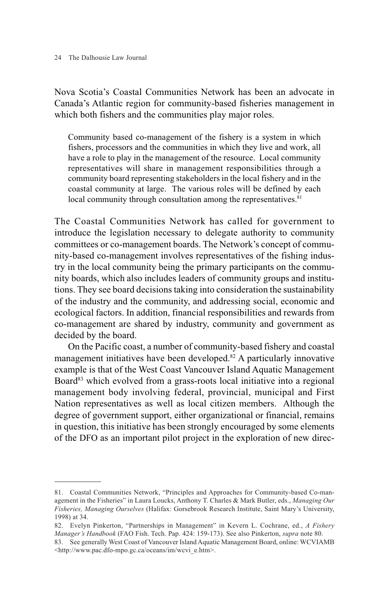Nova Scotia's Coastal Communities Network has been an advocate in Canada's Atlantic region for community-based fisheries management in which both fishers and the communities play major roles.

Community based co-management of the fishery is a system in which fishers, processors and the communities in which they live and work, all have a role to play in the management of the resource. Local community representatives will share in management responsibilities through a community board representing stakeholders in the local fishery and in the coastal community at large. The various roles will be defined by each local community through consultation among the representatives.<sup>81</sup>

The Coastal Communities Network has called for government to introduce the legislation necessary to delegate authority to community committees or co-management boards. The Network's concept of community-based co-management involves representatives of the fishing industry in the local community being the primary participants on the community boards, which also includes leaders of community groups and institutions. They see board decisions taking into consideration the sustainability of the industry and the community, and addressing social, economic and ecological factors. In addition, financial responsibilities and rewards from co-management are shared by industry, community and government as decided by the board.

On the Pacific coast, a number of community-based fishery and coastal management initiatives have been developed.<sup>82</sup> A particularly innovative example is that of the West Coast Vancouver Island Aquatic Management Board<sup>83</sup> which evolved from a grass-roots local initiative into a regional management body involving federal, provincial, municipal and First Nation representatives as well as local citizen members. Although the degree of government support, either organizational or financial, remains in question, this initiative has been strongly encouraged by some elements of the DFO as an important pilot project in the exploration of new direc-

<sup>81.</sup> Coastal Communities Network, "Principles and Approaches for Community-based Co-management in the Fisheries" in Laura Loucks, Anthony T. Charles & Mark Butler, eds., *Managing Our Fisheries, Managing Ourselves* (Halifax: Gorsebrook Research Institute, Saint Mary's University, 1998) at 34.

<sup>82.</sup> Evelyn Pinkerton, "Partnerships in Management" in Kevern L. Cochrane, ed., *A Fishery Manager's Handbook* (FAO Fish. Tech. Pap. 424: 159-173). See also Pinkerton, *supra* note 80.

<sup>83.</sup> See generally West Coast of Vancouver Island Aquatic Management Board, online: WCVIAMB <http://www.pac.dfo-mpo.gc.ca/oceans/im/wcvi\_e.htm>.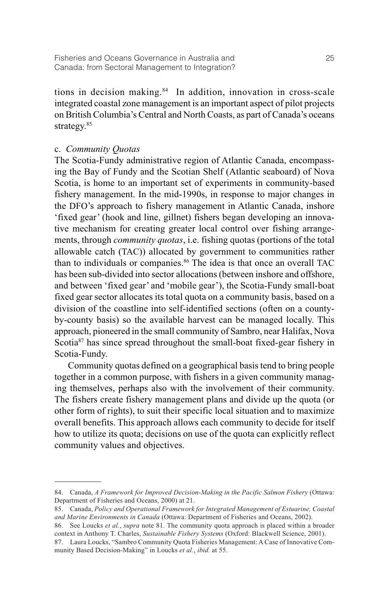tions in decision making.<sup>84</sup> In addition, innovation in cross-scale integrated coastal zone management is an important aspect of pilot projects on British Columbia's Central and North Coasts, as part of Canada's oceans strategy.<sup>85</sup>

## c. *Community Quotas*

The Scotia-Fundy administrative region of Atlantic Canada, encompassing the Bay of Fundy and the Scotian Shelf (Atlantic seaboard) of Nova Scotia, is home to an important set of experiments in community-based fishery management. In the mid-1990s, in response to major changes in the DFO's approach to fishery management in Atlantic Canada, inshore 'fixed gear' (hook and line, gillnet) fishers began developing an innovative mechanism for creating greater local control over fishing arrangements, through *community quotas*, i.e. fishing quotas (portions of the total allowable catch (TAC)) allocated by government to communities rather than to individuals or companies.<sup>86</sup> The idea is that once an overall TAC has been sub-divided into sector allocations (between inshore and offshore, and between 'fixed gear' and 'mobile gear'), the Scotia-Fundy small-boat fixed gear sector allocates its total quota on a community basis, based on a division of the coastline into self-identified sections (often on a countyby-county basis) so the available harvest can be managed locally. This approach, pioneered in the small community of Sambro, near Halifax, Nova Scotia<sup>87</sup> has since spread throughout the small-boat fixed-gear fishery in Scotia-Fundy.

Community quotas defined on a geographical basis tend to bring people together in a common purpose, with fishers in a given community managing themselves, perhaps also with the involvement of their community. The fishers create fishery management plans and divide up the quota (or other form of rights), to suit their specific local situation and to maximize overall benefits. This approach allows each community to decide for itself how to utilize its quota; decisions on use of the quota can explicitly reflect community values and objectives.

<sup>84.</sup> Canada, *A Framework for Improved Decision-Making in the Pacific Salmon Fishery* (Ottawa: Department of Fisheries and Oceans, 2000) at 21.

<sup>85.</sup> Canada, *Policy and Operational Framework for Integrated Management of Estuarine, Coastal and Marine Environments in Canada* (Ottawa: Department of Fisheries and Oceans, 2002).

<sup>86.</sup> See Loucks *et al.*, *supra* note 81. The community quota approach is placed within a broader context in Anthony T. Charles, *Sustainable Fishery Systems* (Oxford: Blackwell Science, 2001).

<sup>87.</sup> Laura Loucks, "Sambro Community Quota Fisheries Management: A Case of Innovative Community Based Decision-Making" in Loucks *et al.*, *ibid.* at 55.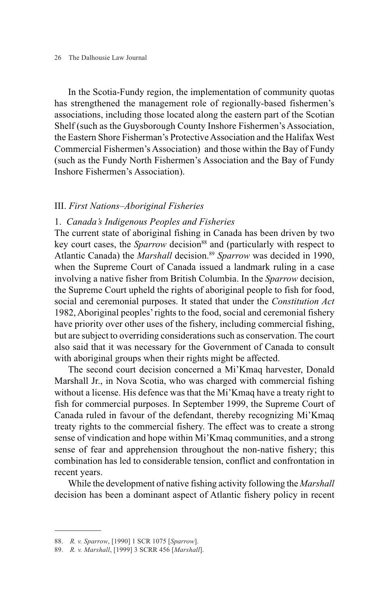#### 26 The Dalhousie Law Journal

In the Scotia-Fundy region, the implementation of community quotas has strengthened the management role of regionally-based fishermen's associations, including those located along the eastern part of the Scotian Shelf (such as the Guysborough County Inshore Fishermen's Association, the Eastern Shore Fisherman's Protective Association and the Halifax West Commercial Fishermen's Association) and those within the Bay of Fundy (such as the Fundy North Fishermen's Association and the Bay of Fundy Inshore Fishermen's Association).

### III. *First Nations–Aboriginal Fisheries*

### 1. *Canada's Indigenous Peoples and Fisheries*

The current state of aboriginal fishing in Canada has been driven by two key court cases, the *Sparrow* decision<sup>88</sup> and (particularly with respect to Atlantic Canada) the *Marshall* decision.<sup>89</sup> Sparrow was decided in 1990, when the Supreme Court of Canada issued a landmark ruling in a case involving a native fisher from British Columbia. In the *Sparrow* decision, the Supreme Court upheld the rights of aboriginal people to fish for food, social and ceremonial purposes. It stated that under the *Constitution Act* 1982, Aboriginal peoples' rights to the food, social and ceremonial fishery have priority over other uses of the fishery, including commercial fishing, but are subject to overriding considerations such as conservation. The court also said that it was necessary for the Government of Canada to consult with aboriginal groups when their rights might be affected.

The second court decision concerned a Mi'Kmaq harvester, Donald Marshall Jr., in Nova Scotia, who was charged with commercial fishing without a license. His defence was that the Mi'Kmaq have a treaty right to fish for commercial purposes. In September 1999, the Supreme Court of Canada ruled in favour of the defendant, thereby recognizing Mi'Kmaq treaty rights to the commercial fishery. The effect was to create a strong sense of vindication and hope within Mi'Kmaq communities, and a strong sense of fear and apprehension throughout the non-native fishery; this combination has led to considerable tension, conflict and confrontation in recent years.

While the development of native fishing activity following the *Marshall* decision has been a dominant aspect of Atlantic fishery policy in recent

<sup>88.</sup> *R. v. Sparrow*, [1990] 1 SCR 1075 [*Sparrow*].

<sup>89.</sup> *R. v. Marshall*, [1999] 3 SCRR 456 [*Marshall*].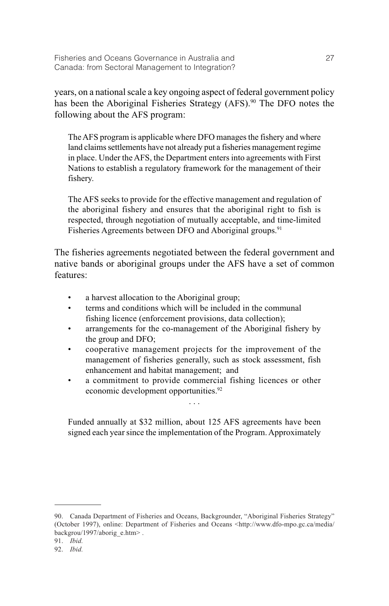years, on a national scale a key ongoing aspect of federal government policy has been the Aboriginal Fisheries Strategy (AFS).<sup>90</sup> The DFO notes the following about the AFS program:

The AFS program is applicable where DFO manages the fishery and where land claims settlements have not already put a fisheries management regime in place. Under the AFS, the Department enters into agreements with First Nations to establish a regulatory framework for the management of their fishery.

The AFS seeks to provide for the effective management and regulation of the aboriginal fishery and ensures that the aboriginal right to fish is respected, through negotiation of mutually acceptable, and time-limited Fisheries Agreements between DFO and Aboriginal groups.<sup>91</sup>

The fisheries agreements negotiated between the federal government and native bands or aboriginal groups under the AFS have a set of common features:

- a harvest allocation to the Aboriginal group;
- terms and conditions which will be included in the communal fishing licence (enforcement provisions, data collection);
- arrangements for the co-management of the Aboriginal fishery by the group and DFO;
- cooperative management projects for the improvement of the management of fisheries generally, such as stock assessment, fish enhancement and habitat management; and
- a commitment to provide commercial fishing licences or other economic development opportunities.<sup>92</sup> . . .

Funded annually at \$32 million, about 125 AFS agreements have been signed each year since the implementation of the Program. Approximately

<sup>90.</sup> Canada Department of Fisheries and Oceans, Backgrounder, "Aboriginal Fisheries Strategy" (October 1997), online: Department of Fisheries and Oceans <http://www.dfo-mpo.gc.ca/media/ backgrou/1997/aborig\_e.htm>.

<sup>91.</sup> *Ibid.*

<sup>92.</sup> *Ibid.*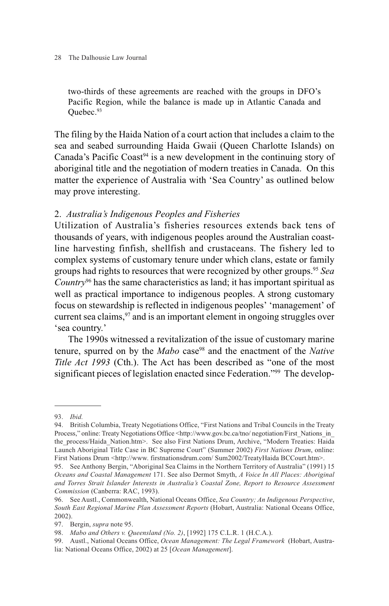#### 28 The Dalhousie Law Journal

two-thirds of these agreements are reached with the groups in DFO's Pacific Region, while the balance is made up in Atlantic Canada and Ouebec.<sup>93</sup>

The filing by the Haida Nation of a court action that includes a claim to the sea and seabed surrounding Haida Gwaii (Queen Charlotte Islands) on Canada's Pacific Coast<sup>94</sup> is a new development in the continuing story of aboriginal title and the negotiation of modern treaties in Canada. On this matter the experience of Australia with 'Sea Country' as outlined below may prove interesting.

### 2. *Australia's Indigenous Peoples and Fisheries*

Utilization of Australia's fisheries resources extends back tens of thousands of years, with indigenous peoples around the Australian coastline harvesting finfish, shellfish and crustaceans. The fishery led to complex systems of customary tenure under which clans, estate or family groups had rights to resources that were recognized by other groups.95 *Sea Country*<sup>96</sup> has the same characteristics as land; it has important spiritual as well as practical importance to indigenous peoples. A strong customary focus on stewardship is reflected in indigenous peoples' 'management' of current sea claims,<sup>97</sup> and is an important element in ongoing struggles over 'sea country.'

The 1990s witnessed a revitalization of the issue of customary marine tenure, spurred on by the *Mabo* case<sup>98</sup> and the enactment of the *Native Title Act 1993* (Cth.). The Act has been described as "one of the most significant pieces of legislation enacted since Federation."99 The develop-

<sup>93.</sup> *Ibid.*

<sup>94.</sup> British Columbia, Treaty Negotiations Office, "First Nations and Tribal Councils in the Treaty Process," online: Treaty Negotiations Office <http://www.gov.bc.ca/tno/ negotiation/First\_Nations\_in the process/Haida Nation.htm>. See also First Nations Drum, Archive, "Modern Treaties: Haida Launch Aboriginal Title Case in BC Supreme Court" (Summer 2002) *First Nations Drum*, online: First Nations Drum <http://www. firstnationsdrum.com/ Sum2002/TreatyHaida BCCourt.htm>.

<sup>95.</sup> See Anthony Bergin, "Aboriginal Sea Claims in the Northern Territory of Australia" (1991) 15 *Oceans and Coastal Management* 171. See also Dermot Smyth, *A Voice In All Places: Aboriginal and Torres Strait Islander Interests in Australia's Coastal Zone, Report to Resource Assessment Commission* (Canberra: RAC, 1993).

<sup>96.</sup> See Austl., Commonwealth, National Oceans Office, *Sea Country; An Indigenous Perspective*, *South East Regional Marine Plan Assessment Reports* (Hobart, Australia: National Oceans Office, 2002).

<sup>97.</sup> Bergin, *supra* note 95.

<sup>98.</sup> *Mabo and Others v. Queensland (No. 2)*, [1992] 175 C.L.R. 1 (H.C.A.).

<sup>99.</sup> Austl., National Oceans Office, *Ocean Management: The Legal Framework* (Hobart, Australia: National Oceans Office, 2002) at 25 [*Ocean Management*].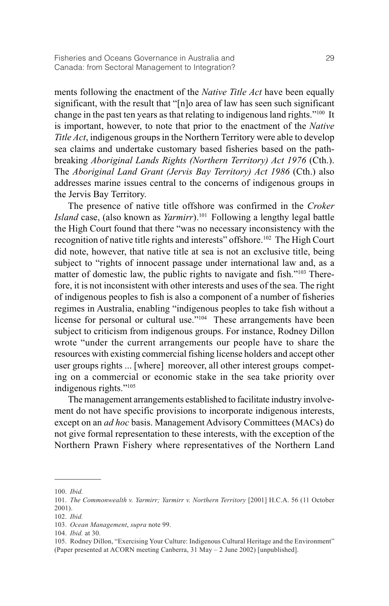ments following the enactment of the *Native Title Act* have been equally significant, with the result that "[n]o area of law has seen such significant change in the past ten years as that relating to indigenous land rights."100 It is important, however, to note that prior to the enactment of the *Native Title Act*, indigenous groups in the Northern Territory were able to develop sea claims and undertake customary based fisheries based on the pathbreaking *Aboriginal Lands Rights (Northern Territory) Act 1976* (Cth.). The *Aboriginal Land Grant (Jervis Bay Territory) Act 1986* (Cth.) also addresses marine issues central to the concerns of indigenous groups in the Jervis Bay Territory.

The presence of native title offshore was confirmed in the *Croker Island* case, (also known as *Yarmirr*).101 Following a lengthy legal battle the High Court found that there "was no necessary inconsistency with the recognition of native title rights and interests" offshore.<sup>102</sup> The High Court did note, however, that native title at sea is not an exclusive title, being subject to "rights of innocent passage under international law and, as a matter of domestic law, the public rights to navigate and fish."<sup>103</sup> Therefore, it is not inconsistent with other interests and uses of the sea. The right of indigenous peoples to fish is also a component of a number of fisheries regimes in Australia, enabling "indigenous peoples to take fish without a license for personal or cultural use."<sup>104</sup> These arrangements have been subject to criticism from indigenous groups. For instance, Rodney Dillon wrote "under the current arrangements our people have to share the resources with existing commercial fishing license holders and accept other user groups rights ... [where] moreover, all other interest groups competing on a commercial or economic stake in the sea take priority over indigenous rights."105

The management arrangements established to facilitate industry involvement do not have specific provisions to incorporate indigenous interests, except on an *ad hoc* basis. Management Advisory Committees (MACs) do not give formal representation to these interests, with the exception of the Northern Prawn Fishery where representatives of the Northern Land

<sup>100.</sup> *Ibid.*

<sup>101.</sup> *The Commonwealth v. Yarmirr; Yarmirr v. Northern Territory* [2001] H.C.A. 56 (11 October 2001).

<sup>102.</sup> *Ibid.*

<sup>103.</sup> *Ocean Management*, *supra* note 99.

<sup>104.</sup> *Ibid.* at 30.

<sup>105.</sup> Rodney Dillon, "Exercising Your Culture: Indigenous Cultural Heritage and the Environment" (Paper presented at ACORN meeting Canberra, 31 May – 2 June 2002) [unpublished].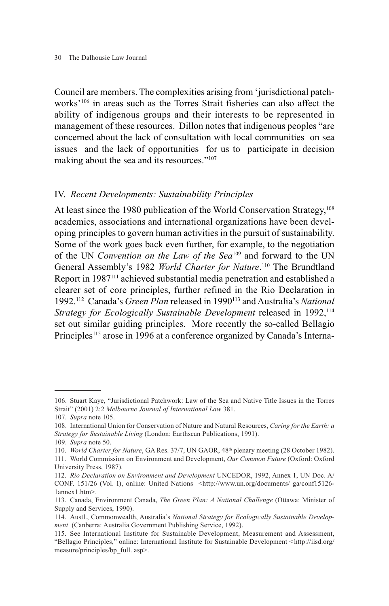#### 30 The Dalhousie Law Journal

Council are members. The complexities arising from 'jurisdictional patchworks'106 in areas such as the Torres Strait fisheries can also affect the ability of indigenous groups and their interests to be represented in management of these resources. Dillon notes that indigenous peoples "are concerned about the lack of consultation with local communities on sea issues and the lack of opportunities for us to participate in decision making about the sea and its resources."<sup>107</sup>

### IV. *Recent Developments: Sustainability Principles*

At least since the 1980 publication of the World Conservation Strategy,<sup>108</sup> academics, associations and international organizations have been developing principles to govern human activities in the pursuit of sustainability. Some of the work goes back even further, for example, to the negotiation of the UN *Convention on the Law of the Sea*<sup>109</sup> and forward to the UN General Assembly's 1982 *World Charter for Nature*.<sup>110</sup> The Brundtland Report in 1987111 achieved substantial media penetration and established a clearer set of core principles, further refined in the Rio Declaration in 1992.112 Canada's *Green Plan* released in 1990113 and Australia's *National Strategy for Ecologically Sustainable Development* released in 1992.<sup>114</sup> set out similar guiding principles. More recently the so-called Bellagio Principles<sup>115</sup> arose in 1996 at a conference organized by Canada's Interna-

<sup>106.</sup> Stuart Kaye, "Jurisdictional Patchwork: Law of the Sea and Native Title Issues in the Torres Strait" (2001) 2:2 *Melbourne Journal of International Law* 381.

<sup>107.</sup> *Supra* note 105.

<sup>108.</sup> International Union for Conservation of Nature and Natural Resources, *Caring for the Earth: a Strategy for Sustainable Living* (London: Earthscan Publications, 1991).

<sup>109.</sup> *Supra* note 50.

<sup>110.</sup> *World Charter for Nature*, GA Res. 37/7, UN GAOR, 48th plenary meeting (28 October 1982). 111. World Commission on Environment and Development, *Our Common Future* (Oxford: Oxford

University Press, 1987).

<sup>112.</sup> *Rio Declaration on Environment and Development* UNCEDOR, 1992, Annex 1, UN Doc. A/ CONF. 151/26 (Vol. I), online: United Nations <http://www.un.org/documents/ ga/conf15126- 1annex1.htm>.

<sup>113.</sup> Canada, Environment Canada, *The Green Plan: A National Challenge* (Ottawa: Minister of Supply and Services, 1990).

<sup>114.</sup> Austl., Commonwealth, Australia's *National Strategy for Ecologically Sustainable Development* (Canberra: Australia Government Publishing Service, 1992).

<sup>115.</sup> See International Institute for Sustainable Development, Measurement and Assessment, "Bellagio Principles," online: International Institute for Sustainable Development *<*http://iisd.org/ measure/principles/bp\_full. asp>.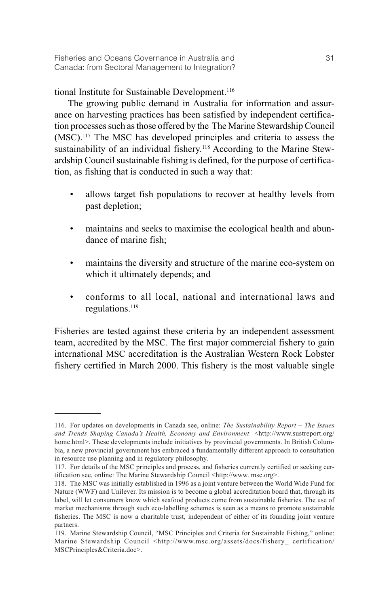tional Institute for Sustainable Development.<sup>116</sup>

The growing public demand in Australia for information and assurance on harvesting practices has been satisfied by independent certification processes such as those offered by the The Marine Stewardship Council (MSC).117 The MSC has developed principles and criteria to assess the sustainability of an individual fishery.<sup>118</sup> According to the Marine Stewardship Council sustainable fishing is defined, for the purpose of certification, as fishing that is conducted in such a way that:

- allows target fish populations to recover at healthy levels from past depletion;
- maintains and seeks to maximise the ecological health and abundance of marine fish;
- maintains the diversity and structure of the marine eco-system on which it ultimately depends; and
- conforms to all local, national and international laws and regulations.119

Fisheries are tested against these criteria by an independent assessment team, accredited by the MSC. The first major commercial fishery to gain international MSC accreditation is the Australian Western Rock Lobster fishery certified in March 2000. This fishery is the most valuable single

<sup>116.</sup> For updates on developments in Canada see, online: *The Sustainability Report – The Issues* and Trends Shaping Canada's Health, Economy and Environment <http://www.sustreport.org/ home.html>. These developments include initiatives by provincial governments. In British Columbia, a new provincial government has embraced a fundamentally different approach to consultation in resource use planning and in regulatory philosophy.

<sup>117.</sup> For details of the MSC principles and process, and fisheries currently certified or seeking certification see, online: The Marine Stewardship Council <http://www. msc.org>.

<sup>118.</sup> The MSC was initially established in 1996 as a joint venture between the World Wide Fund for Nature (WWF) and Unilever. Its mission is to become a global accreditation board that, through its label, will let consumers know which seafood products come from sustainable fisheries. The use of market mechanisms through such eco-labelling schemes is seen as a means to promote sustainable fisheries. The MSC is now a charitable trust, independent of either of its founding joint venture partners.

<sup>119.</sup> Marine Stewardship Council, "MSC Principles and Criteria for Sustainable Fishing," online: Marine Stewardship Council <http://www.msc.org/assets/docs/fishery\_ certification/ MSCPrinciples&Criteria.doc>.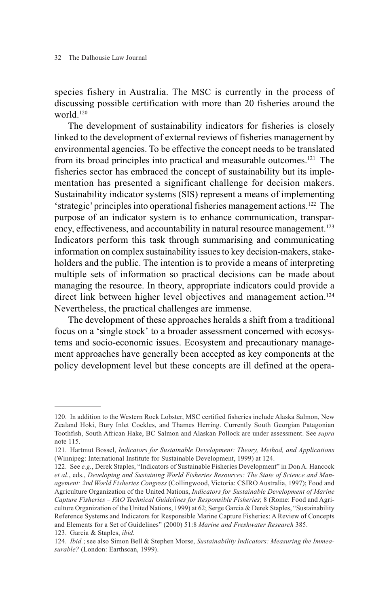species fishery in Australia. The MSC is currently in the process of discussing possible certification with more than 20 fisheries around the world.120

The development of sustainability indicators for fisheries is closely linked to the development of external reviews of fisheries management by environmental agencies. To be effective the concept needs to be translated from its broad principles into practical and measurable outcomes.121 The fisheries sector has embraced the concept of sustainability but its implementation has presented a significant challenge for decision makers. Sustainability indicator systems (SIS) represent a means of implementing 'strategic' principles into operational fisheries management actions.122 The purpose of an indicator system is to enhance communication, transparency, effectiveness, and accountability in natural resource management.<sup>123</sup> Indicators perform this task through summarising and communicating information on complex sustainability issues to key decision-makers, stakeholders and the public. The intention is to provide a means of interpreting multiple sets of information so practical decisions can be made about managing the resource. In theory, appropriate indicators could provide a direct link between higher level objectives and management action.<sup>124</sup> Nevertheless, the practical challenges are immense.

The development of these approaches heralds a shift from a traditional focus on a 'single stock' to a broader assessment concerned with ecosystems and socio-economic issues. Ecosystem and precautionary management approaches have generally been accepted as key components at the policy development level but these concepts are ill defined at the opera-

<sup>120.</sup> In addition to the Western Rock Lobster, MSC certified fisheries include Alaska Salmon, New Zealand Hoki, Bury Inlet Cockles, and Thames Herring. Currently South Georgian Patagonian Toothfish, South African Hake, BC Salmon and Alaskan Pollock are under assessment. See *supra* note 115.

<sup>121.</sup> Hartmut Bossel, *Indicators for Sustainable Development: Theory, Method, and Applications* (Winnipeg: International Institute for Sustainable Development, 1999) at 124.

<sup>122.</sup> See *e.g.*, Derek Staples, "Indicators of Sustainable Fisheries Development" in Don A. Hancock *et al.*, eds., *Developing and Sustaining World Fisheries Resources: The State of Science and Management: 2nd World Fisheries Congress* (Collingwood, Victoria: CSIRO Australia, 1997); Food and Agriculture Organization of the United Nations, *Indicators for Sustainable Development of Marine Capture Fisheries – FAO Technical Guidelines for Responsible Fisheries*; 8 (Rome: Food and Agriculture Organization of the United Nations, 1999) at 62; Serge Garcia & Derek Staples, "Sustainability Reference Systems and Indicators for Responsible Marine Capture Fisheries: A Review of Concepts and Elements for a Set of Guidelines" (2000) 51:8 *Marine and Freshwater Research* 385. 123. Garcia & Staples, *ibid.*

<sup>124.</sup> *Ibid.*; see also Simon Bell & Stephen Morse, *Sustainability Indicators: Measuring the Immeasurable?* (London: Earthscan, 1999).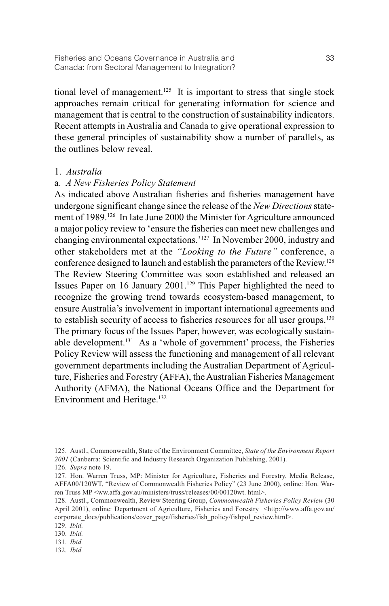tional level of management.125 It is important to stress that single stock approaches remain critical for generating information for science and management that is central to the construction of sustainability indicators. Recent attempts in Australia and Canada to give operational expression to these general principles of sustainability show a number of parallels, as the outlines below reveal.

### 1. *Australia*

### a. *A New Fisheries Policy Statement*

As indicated above Australian fisheries and fisheries management have undergone significant change since the release of the *New Directions*statement of 1989.<sup>126</sup> In late June 2000 the Minister for Agriculture announced a major policy review to 'ensure the fisheries can meet new challenges and changing environmental expectations.'127 In November 2000, industry and other stakeholders met at the *"Looking to the Future"* conference, a conference designed to launch and establish the parameters of the Review.128 The Review Steering Committee was soon established and released an Issues Paper on 16 January 2001.129 This Paper highlighted the need to recognize the growing trend towards ecosystem-based management, to ensure Australia's involvement in important international agreements and to establish security of access to fisheries resources for all user groups.130 The primary focus of the Issues Paper, however, was ecologically sustainable development.131 As a 'whole of government' process, the Fisheries Policy Review will assess the functioning and management of all relevant government departments including the Australian Department of Agriculture, Fisheries and Forestry (AFFA), the Australian Fisheries Management Authority (AFMA), the National Oceans Office and the Department for Environment and Heritage.<sup>132</sup>

132. *Ibid.*

<sup>125.</sup> Austl., Commonwealth, State of the Environment Committee, *State of the Environment Report 2001* (Canberra: Scientific and Industry Research Organization Publishing, 2001).

<sup>126.</sup> *Supra* note 19.

<sup>127.</sup> Hon. Warren Truss, MP: Minister for Agriculture, Fisheries and Forestry, Media Release, AFFA00/120WT, "Review of Commonwealth Fisheries Policy" (23 June 2000), online: Hon. Warren Truss MP <ww.affa.gov.au/ministers/truss/releases/00/00120wt. html>.

<sup>128.</sup> Austl., Commonwealth, Review Steering Group, *Commonwealth Fisheries Policy Review* (30 April 2001), online: Department of Agriculture, Fisheries and Forestry <http://www.affa.gov.au/ corporate\_docs/publications/cover\_page/fisheries/fish\_policy/fishpol\_review.html>.

<sup>129.</sup> *Ibid.*

<sup>130.</sup> *Ibid.*

<sup>131.</sup> *Ibid.*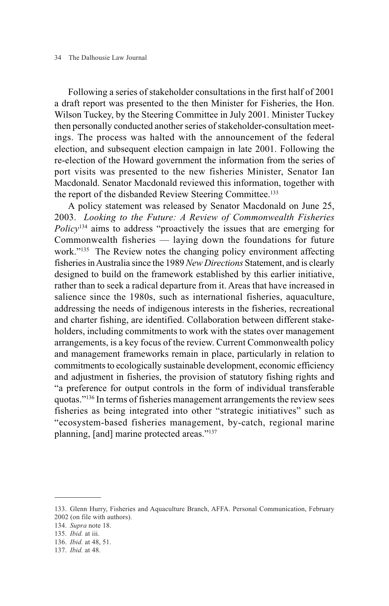Following a series of stakeholder consultations in the first half of 2001 a draft report was presented to the then Minister for Fisheries, the Hon. Wilson Tuckey, by the Steering Committee in July 2001. Minister Tuckey then personally conducted another series of stakeholder-consultation meetings. The process was halted with the announcement of the federal election, and subsequent election campaign in late 2001. Following the re-election of the Howard government the information from the series of port visits was presented to the new fisheries Minister, Senator Ian Macdonald. Senator Macdonald reviewed this information, together with the report of the disbanded Review Steering Committee.133

A policy statement was released by Senator Macdonald on June 25, 2003. *Looking to the Future: A Review of Commonwealth Fisheries Policy*<sup>134</sup> aims to address "proactively the issues that are emerging for Commonwealth fisheries — laying down the foundations for future work."135 The Review notes the changing policy environment affecting fisheries in Australia since the 1989 *New Directions* Statement, and is clearly designed to build on the framework established by this earlier initiative, rather than to seek a radical departure from it. Areas that have increased in salience since the 1980s, such as international fisheries, aquaculture, addressing the needs of indigenous interests in the fisheries, recreational and charter fishing, are identified. Collaboration between different stakeholders, including commitments to work with the states over management arrangements, is a key focus of the review. Current Commonwealth policy and management frameworks remain in place, particularly in relation to commitments to ecologically sustainable development, economic efficiency and adjustment in fisheries, the provision of statutory fishing rights and "a preference for output controls in the form of individual transferable quotas."136 In terms of fisheries management arrangements the review sees fisheries as being integrated into other "strategic initiatives" such as "ecosystem-based fisheries management, by-catch, regional marine planning, [and] marine protected areas."137

<sup>133.</sup> Glenn Hurry, Fisheries and Aquaculture Branch, AFFA. Personal Communication, February 2002 (on file with authors).

<sup>134.</sup> *Supra* note 18.

<sup>135.</sup> *Ibid.* at iii.

<sup>136.</sup> *Ibid.* at 48, 51.

<sup>137.</sup> *Ibid.* at 48.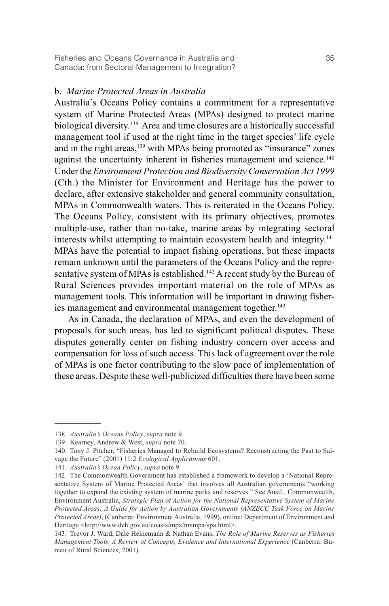### b. *Marine Protected Areas in Australia*

Australia's Oceans Policy contains a commitment for a representative system of Marine Protected Areas (MPAs) designed to protect marine biological diversity.<sup>138</sup> Area and time closures are a historically successful management tool if used at the right time in the target species' life cycle and in the right areas,<sup>139</sup> with MPAs being promoted as "insurance" zones against the uncertainty inherent in fisheries management and science.<sup>140</sup> Under the *Environment Protection and Biodiversity Conservation Act 1999* (Cth.) the Minister for Environment and Heritage has the power to declare, after extensive stakeholder and general community consultation, MPAs in Commonwealth waters. This is reiterated in the Oceans Policy. The Oceans Policy, consistent with its primary objectives, promotes multiple-use, rather than no-take, marine areas by integrating sectoral interests whilst attempting to maintain ecosystem health and integrity.<sup>141</sup> MPAs have the potential to impact fishing operations, but these impacts remain unknown until the parameters of the Oceans Policy and the representative system of MPAs is established.<sup>142</sup> A recent study by the Bureau of Rural Sciences provides important material on the role of MPAs as management tools. This information will be important in drawing fisheries management and environmental management together.<sup>143</sup>

As in Canada, the declaration of MPAs, and even the development of proposals for such areas, has led to significant political disputes. These disputes generally center on fishing industry concern over access and compensation for loss of such access. This lack of agreement over the role of MPAs is one factor contributing to the slow pace of implementation of these areas. Despite these well-publicized difficulties there have been some

<sup>138.</sup> *Australia's Oceans Policy*, *supra* note 9.

<sup>139.</sup> Kearney, Andrew & West, *supra* note 70.

<sup>140.</sup> Tony J. Pitcher, "Fisheries Managed to Rebuild Ecosystems? Reconstructing the Past to Salvage the Future" (2001) 11:2 *Ecological Applications* 601.

<sup>141.</sup> *Australia's Ocean Policy*, *supra* note 9.

<sup>142.</sup> The Commonwealth Government has established a framework to develop a 'National Representative System of Marine Protected Areas' that involves all Australian governments "working together to expand the existing system of marine parks and reserves." See Austl., Commonwealth, Environment Australia, *Strategic Plan of Action for the National Representative System of Marine Protected Areas: A Guide for Action by Australian Governments (ANZECC Task Force on Marine Protected Areas)*, (Canberra: Environment Australia, 1999), online: Department of Environment and Heritage <http://www.deh.gov.au/coasts/mpa/nrsmpa/spa.html>.

<sup>143.</sup> Trevor J. Ward, Dale Heinemann & Nathan Evans, *The Role of Marine Reserves as Fisheries Management Tools. A Review of Concepts, Evidence and International Experience* (Canberra: Bureau of Rural Sciences, 2001).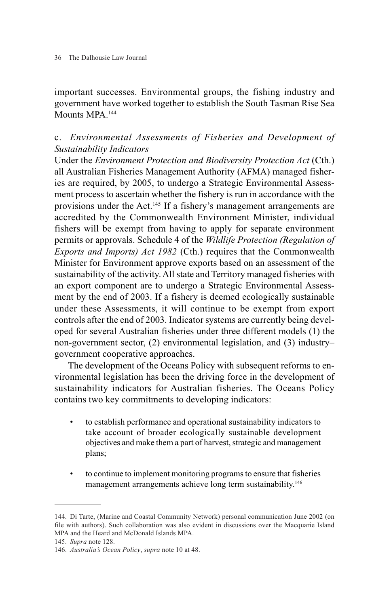important successes. Environmental groups, the fishing industry and government have worked together to establish the South Tasman Rise Sea Mounts MPA.<sup>144</sup>

# c. *Environmental Assessments of Fisheries and Development of Sustainability Indicators*

Under the *Environment Protection and Biodiversity Protection Act* (Cth.) all Australian Fisheries Management Authority (AFMA) managed fisheries are required, by 2005, to undergo a Strategic Environmental Assessment process to ascertain whether the fishery is run in accordance with the provisions under the Act.145 If a fishery's management arrangements are accredited by the Commonwealth Environment Minister, individual fishers will be exempt from having to apply for separate environment permits or approvals. Schedule 4 of the *Wildlife Protection (Regulation of Exports and Imports) Act 1982* (Cth.) requires that the Commonwealth Minister for Environment approve exports based on an assessment of the sustainability of the activity. All state and Territory managed fisheries with an export component are to undergo a Strategic Environmental Assessment by the end of 2003. If a fishery is deemed ecologically sustainable under these Assessments, it will continue to be exempt from export controls after the end of 2003. Indicator systems are currently being developed for several Australian fisheries under three different models (1) the non-government sector, (2) environmental legislation, and (3) industry– government cooperative approaches.

The development of the Oceans Policy with subsequent reforms to environmental legislation has been the driving force in the development of sustainability indicators for Australian fisheries. The Oceans Policy contains two key commitments to developing indicators:

- to establish performance and operational sustainability indicators to take account of broader ecologically sustainable development objectives and make them a part of harvest, strategic and management plans;
- to continue to implement monitoring programs to ensure that fisheries management arrangements achieve long term sustainability.<sup>146</sup>

<sup>144.</sup> Di Tarte, (Marine and Coastal Community Network) personal communication June 2002 (on file with authors). Such collaboration was also evident in discussions over the Macquarie Island MPA and the Heard and McDonald Islands MPA.

<sup>145.</sup> *Supra* note 128.

<sup>146.</sup> *Australia's Ocean Policy*, *supra* note 10 at 48.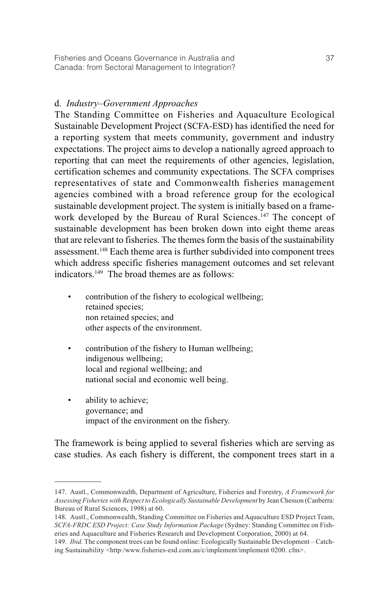## d. *Industry–Government Approaches*

The Standing Committee on Fisheries and Aquaculture Ecological Sustainable Development Project (SCFA-ESD) has identified the need for a reporting system that meets community, government and industry expectations. The project aims to develop a nationally agreed approach to reporting that can meet the requirements of other agencies, legislation, certification schemes and community expectations. The SCFA comprises representatives of state and Commonwealth fisheries management agencies combined with a broad reference group for the ecological sustainable development project. The system is initially based on a framework developed by the Bureau of Rural Sciences.<sup>147</sup> The concept of sustainable development has been broken down into eight theme areas that are relevant to fisheries. The themes form the basis of the sustainability assessment.<sup>148</sup> Each theme area is further subdivided into component trees which address specific fisheries management outcomes and set relevant indicators.149 The broad themes are as follows:

- contribution of the fishery to ecological wellbeing; retained species: non retained species; and other aspects of the environment.
- contribution of the fishery to Human wellbeing; indigenous wellbeing; local and regional wellbeing; and national social and economic well being.
- ability to achieve; governance; and impact of the environment on the fishery.

The framework is being applied to several fisheries which are serving as case studies. As each fishery is different, the component trees start in a

<sup>147.</sup> Austl., Commonwealth, Department of Agriculture, Fisheries and Forestry, *A Framework for Assessing Fisheries with Respect to Ecologically Sustainable Development* by Jean Chesson (Canberra: Bureau of Rural Sciences, 1998) at 60.

<sup>148.</sup> Austl., Commonwealth, Standing Committee on Fisheries and Aquaculture ESD Project Team, *SCFA-FRDC ESD Project: Case Study Information Package* (Sydney: Standing Committee on Fisheries and Aquaculture and Fisheries Research and Development Corporation, 2000) at 64.

<sup>149.</sup> *Ibid.* The component trees can be found online: Ecologically Sustainable Development – Catching Sustainability <http:/www.fisheries-esd.com.au/c/implement/implement 0200. cfm>.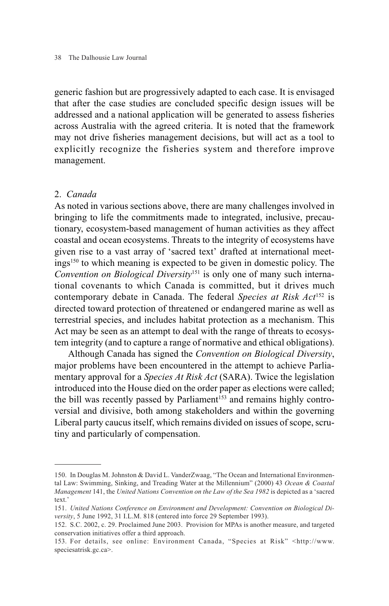generic fashion but are progressively adapted to each case. It is envisaged that after the case studies are concluded specific design issues will be addressed and a national application will be generated to assess fisheries across Australia with the agreed criteria. It is noted that the framework may not drive fisheries management decisions, but will act as a tool to explicitly recognize the fisheries system and therefore improve management.

### 2. *Canada*

As noted in various sections above, there are many challenges involved in bringing to life the commitments made to integrated, inclusive, precautionary, ecosystem-based management of human activities as they affect coastal and ocean ecosystems. Threats to the integrity of ecosystems have given rise to a vast array of 'sacred text' drafted at international meetings150 to which meaning is expected to be given in domestic policy. The *Convention on Biological Diversity*<sup>151</sup> is only one of many such international covenants to which Canada is committed, but it drives much contemporary debate in Canada. The federal *Species at Risk Act*<sup>152</sup> is directed toward protection of threatened or endangered marine as well as terrestrial species, and includes habitat protection as a mechanism. This Act may be seen as an attempt to deal with the range of threats to ecosystem integrity (and to capture a range of normative and ethical obligations).

Although Canada has signed the *Convention on Biological Diversity*, major problems have been encountered in the attempt to achieve Parliamentary approval for a *Species At Risk Act* (SARA). Twice the legislation introduced into the House died on the order paper as elections were called; the bill was recently passed by Parliament<sup>153</sup> and remains highly controversial and divisive, both among stakeholders and within the governing Liberal party caucus itself, which remains divided on issues of scope, scrutiny and particularly of compensation.

<sup>150.</sup> In Douglas M. Johnston & David L. VanderZwaag, "The Ocean and International Environmental Law: Swimming, Sinking, and Treading Water at the Millennium" (2000) 43 *Ocean & Coastal Management* 141, the *United Nations Convention on the Law of the Sea 1982* is depicted as a 'sacred text.'

<sup>151.</sup> *United Nations Conference on Environment and Development: Convention on Biological Diversity*, 5 June 1992, 31 I.L.M. 818 (entered into force 29 September 1993).

<sup>152.</sup> S.C. 2002, c. 29. Proclaimed June 2003. Provision for MPAs is another measure, and targeted conservation initiatives offer a third approach.

<sup>153.</sup> For details, see online: Environment Canada, "Species at Risk" <http://www. speciesatrisk.gc.ca>.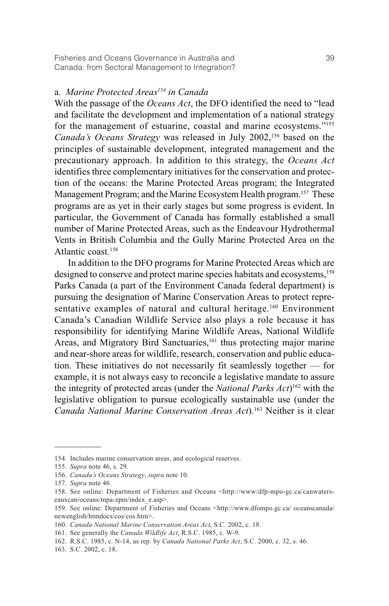# a. *Marine Protected Areas154 in Canada*

With the passage of the *Oceans Act*, the DFO identified the need to "lead and facilitate the development and implementation of a national strategy for the management of estuarine, coastal and marine ecosystems."155 *Canada's Oceans Strategy* was released in July 2002,<sup>156</sup> based on the principles of sustainable development, integrated management and the precautionary approach. In addition to this strategy, the *Oceans Act* identifies three complementary initiatives for the conservation and protection of the oceans: the Marine Protected Areas program; the Integrated Management Program; and the Marine Ecosystem Health program.<sup>157</sup> These programs are as yet in their early stages but some progress is evident. In particular, the Government of Canada has formally established a small number of Marine Protected Areas, such as the Endeavour Hydrothermal Vents in British Columbia and the Gully Marine Protected Area on the Atlantic coast.<sup>158</sup>

In addition to the DFO programs for Marine Protected Areas which are designed to conserve and protect marine species habitats and ecosystems,<sup>159</sup> Parks Canada (a part of the Environment Canada federal department) is pursuing the designation of Marine Conservation Areas to protect representative examples of natural and cultural heritage.<sup>160</sup> Environment Canada's Canadian Wildlife Service also plays a role because it has responsibility for identifying Marine Wildlife Areas, National Wildlife Areas, and Migratory Bird Sanctuaries,<sup>161</sup> thus protecting major marine and near-shore areas for wildlife, research, conservation and public education. These initiatives do not necessarily fit seamlessly together — for example, it is not always easy to reconcile a legislative mandate to assure the integrity of protected areas (under the *National Parks Act*)162 with the legislative obligation to pursue ecologically sustainable use (under the *Canada National Marine Conservation Areas Act*).163 Neither is it clear

<sup>154.</sup> Includes marine conservation areas, and ecological reserves.

<sup>155.</sup> *Supra* note 46, s. 29.

<sup>156.</sup> *Canada's Oceans Strategy*, *supra* note 10.

<sup>157.</sup> *Supra* note 46.

<sup>158.</sup> See online: Department of Fisheries and Oceans <http://www/dfp-mpo-gc.ca/canwaterseauxcan/oceans/mpa-zpm/index\_e.asp>.

<sup>159.</sup> See online: Department of Fisheries and Oceans <http://www.dfompo.gc.ca/ oceanscanada/ newenglish/htmdocs/cos/cos.htm>.

<sup>160.</sup> *Canada National Marine Conservation Areas Act*, S.C. 2002, c. 18.

<sup>161.</sup> See generally the *Canada Wildlife Act*, R.S.C. 1985, c. W-9.

<sup>162.</sup> R.S.C. 1985, c. N-14, as rep. by *Canada National Parks Act*, S.C. 2000, c. 32, s. 46.

<sup>163.</sup> S.C. 2002, c. 18.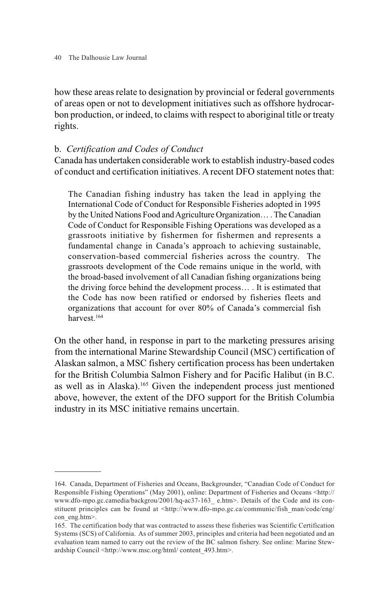how these areas relate to designation by provincial or federal governments of areas open or not to development initiatives such as offshore hydrocarbon production, or indeed, to claims with respect to aboriginal title or treaty rights.

## b. *Certification and Codes of Conduct*

Canada has undertaken considerable work to establish industry-based codes of conduct and certification initiatives. A recent DFO statement notes that:

The Canadian fishing industry has taken the lead in applying the International Code of Conduct for Responsible Fisheries adopted in 1995 by the United Nations Food and Agriculture Organization… . The Canadian Code of Conduct for Responsible Fishing Operations was developed as a grassroots initiative by fishermen for fishermen and represents a fundamental change in Canada's approach to achieving sustainable, conservation-based commercial fisheries across the country. The grassroots development of the Code remains unique in the world, with the broad-based involvement of all Canadian fishing organizations being the driving force behind the development process… . It is estimated that the Code has now been ratified or endorsed by fisheries fleets and organizations that account for over 80% of Canada's commercial fish harvest.164

On the other hand, in response in part to the marketing pressures arising from the international Marine Stewardship Council (MSC) certification of Alaskan salmon, a MSC fishery certification process has been undertaken for the British Columbia Salmon Fishery and for Pacific Halibut (in B.C. as well as in Alaska).165 Given the independent process just mentioned above, however, the extent of the DFO support for the British Columbia industry in its MSC initiative remains uncertain.

<sup>164.</sup> Canada, Department of Fisheries and Oceans, Backgrounder, "Canadian Code of Conduct for Responsible Fishing Operations" (May 2001), online: Department of Fisheries and Oceans <http:// www.dfo-mpo.gc.camedia/backgrou/2001/hq-ac37-163\_ e.htm>. Details of the Code and its constituent principles can be found at <http://www.dfo-mpo.gc.ca/communic/fish\_man/code/eng/ con eng.htm>.

<sup>165.</sup> The certification body that was contracted to assess these fisheries was Scientific Certification Systems (SCS) of California. As of summer 2003, principles and criteria had been negotiated and an evaluation team named to carry out the review of the BC salmon fishery. See online: Marine Stewardship Council <http://www.msc.org/html/ content\_493.htm>.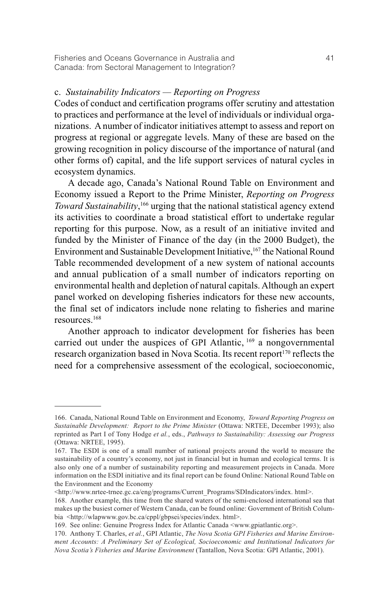## c. *Sustainability Indicators — Reporting on Progress*

Codes of conduct and certification programs offer scrutiny and attestation to practices and performance at the level of individuals or individual organizations. A number of indicator initiatives attempt to assess and report on progress at regional or aggregate levels. Many of these are based on the growing recognition in policy discourse of the importance of natural (and other forms of) capital, and the life support services of natural cycles in ecosystem dynamics.

A decade ago, Canada's National Round Table on Environment and Economy issued a Report to the Prime Minister, *Reporting on Progress Toward Sustainability*, <sup>166</sup> urging that the national statistical agency extend its activities to coordinate a broad statistical effort to undertake regular reporting for this purpose. Now, as a result of an initiative invited and funded by the Minister of Finance of the day (in the 2000 Budget), the Environment and Sustainable Development Initiative,<sup>167</sup> the National Round Table recommended development of a new system of national accounts and annual publication of a small number of indicators reporting on environmental health and depletion of natural capitals. Although an expert panel worked on developing fisheries indicators for these new accounts, the final set of indicators include none relating to fisheries and marine resources.168

Another approach to indicator development for fisheries has been carried out under the auspices of GPI Atlantic,  $169$  a nongovernmental research organization based in Nova Scotia. Its recent report<sup>170</sup> reflects the need for a comprehensive assessment of the ecological, socioeconomic,

<sup>166.</sup> Canada, National Round Table on Environment and Economy, *Toward Reporting Progress on Sustainable Development: Report to the Prime Minister* (Ottawa: NRTEE, December 1993); also reprinted as Part I of Tony Hodge *et al.*, eds., *Pathways to Sustainability: Assessing our Progress* (Ottawa: NRTEE, 1995).

<sup>167.</sup> The ESDI is one of a small number of national projects around the world to measure the sustainability of a country's economy, not just in financial but in human and ecological terms. It is also only one of a number of sustainability reporting and measurement projects in Canada. More information on the ESDI initiative and its final report can be found Online: National Round Table on the Environment and the Economy

<sup>&</sup>lt;http://www.nrtee-trnee.gc.ca/eng/programs/Current\_Programs/SDIndicators/index. html>.

<sup>168.</sup> Another example, this time from the shared waters of the semi-enclosed international sea that makes up the busiest corner of Western Canada, can be found online: Government of British Columbia <http://wlapwww.gov.bc.ca/cppl/gbpsei/species/index. html>.

<sup>169.</sup> See online: Genuine Progress Index for Atlantic Canada <www.gpiatlantic.org>.

<sup>170.</sup> Anthony T. Charles, *et al.*, GPI Atlantic, *The Nova Scotia GPI Fisheries and Marine Environment Accounts: A Preliminary Set of Ecological, Socioeconomic and Institutional Indicators for Nova Scotia's Fisheries and Marine Environment* (Tantallon, Nova Scotia: GPI Atlantic, 2001).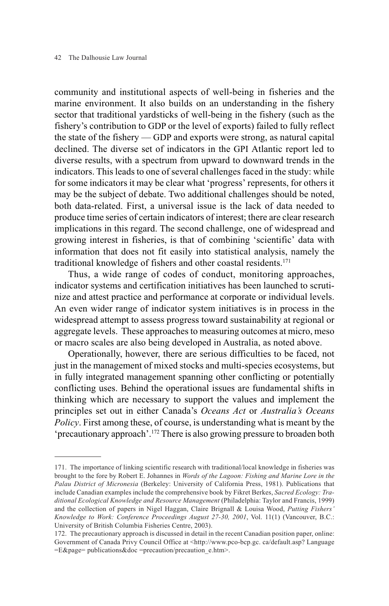community and institutional aspects of well-being in fisheries and the marine environment. It also builds on an understanding in the fishery sector that traditional yardsticks of well-being in the fishery (such as the fishery's contribution to GDP or the level of exports) failed to fully reflect the state of the fishery — GDP and exports were strong, as natural capital declined. The diverse set of indicators in the GPI Atlantic report led to diverse results, with a spectrum from upward to downward trends in the indicators. This leads to one of several challenges faced in the study: while for some indicators it may be clear what 'progress' represents, for others it may be the subject of debate. Two additional challenges should be noted, both data-related. First, a universal issue is the lack of data needed to produce time series of certain indicators of interest; there are clear research implications in this regard. The second challenge, one of widespread and growing interest in fisheries, is that of combining 'scientific' data with information that does not fit easily into statistical analysis, namely the traditional knowledge of fishers and other coastal residents.171

Thus, a wide range of codes of conduct, monitoring approaches, indicator systems and certification initiatives has been launched to scrutinize and attest practice and performance at corporate or individual levels. An even wider range of indicator system initiatives is in process in the widespread attempt to assess progress toward sustainability at regional or aggregate levels. These approaches to measuring outcomes at micro, meso or macro scales are also being developed in Australia, as noted above.

Operationally, however, there are serious difficulties to be faced, not just in the management of mixed stocks and multi-species ecosystems, but in fully integrated management spanning other conflicting or potentially conflicting uses. Behind the operational issues are fundamental shifts in thinking which are necessary to support the values and implement the principles set out in either Canada's *Oceans Act* or *Australia's Oceans Policy*. First among these, of course, is understanding what is meant by the 'precautionary approach'.172 There is also growing pressure to broaden both

<sup>171.</sup> The importance of linking scientific research with traditional/local knowledge in fisheries was brought to the fore by Robert E. Johannes in *Words of the Lagoon: Fishing and Marine Lore in the Palau District of Micronesia* (Berkeley: University of California Press, 1981). Publications that include Canadian examples include the comprehensive book by Fikret Berkes, *Sacred Ecology: Traditional Ecological Knowledge and Resource Management* (Philadelphia: Taylor and Francis, 1999) and the collection of papers in Nigel Haggan, Claire Brignall & Louisa Wood, *Putting Fishers' Knowledge to Work: Conference Proceedings August 27-30, 2001*, Vol. 11(1) (Vancouver, B.C.: University of British Columbia Fisheries Centre, 2003).

<sup>172.</sup> The precautionary approach is discussed in detail in the recent Canadian position paper, online: Government of Canada Privy Council Office at <http://www.pco-bcp.gc. ca/default.asp? Language =E&page= publications&doc =precaution/precaution\_e.htm>.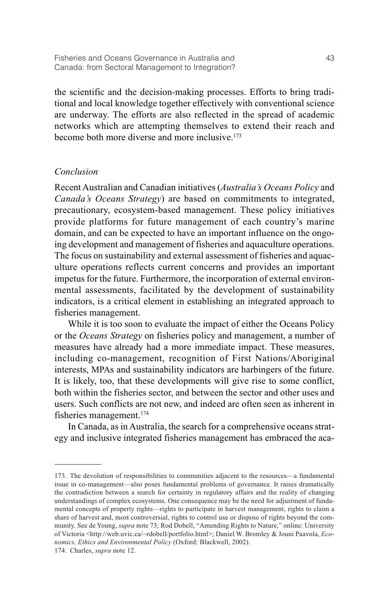the scientific and the decision-making processes. Efforts to bring traditional and local knowledge together effectively with conventional science are underway. The efforts are also reflected in the spread of academic networks which are attempting themselves to extend their reach and become both more diverse and more inclusive.173

## *Conclusion*

Recent Australian and Canadian initiatives (*Australia's Oceans Policy* and *Canada's Oceans Strategy*) are based on commitments to integrated, precautionary, ecosystem-based management. These policy initiatives provide platforms for future management of each country's marine domain, and can be expected to have an important influence on the ongoing development and management of fisheries and aquaculture operations. The focus on sustainability and external assessment of fisheries and aquaculture operations reflects current concerns and provides an important impetus for the future. Furthermore, the incorporation of external environmental assessments, facilitated by the development of sustainability indicators, is a critical element in establishing an integrated approach to fisheries management.

While it is too soon to evaluate the impact of either the Oceans Policy or the *Oceans Strategy* on fisheries policy and management, a number of measures have already had a more immediate impact. These measures, including co-management, recognition of First Nations/Aboriginal interests, MPAs and sustainability indicators are harbingers of the future. It is likely, too, that these developments will give rise to some conflict, both within the fisheries sector, and between the sector and other uses and users. Such conflicts are not new, and indeed are often seen as inherent in fisheries management.174

In Canada, as in Australia, the search for a comprehensive oceans strategy and inclusive integrated fisheries management has embraced the aca-

<sup>173.</sup> The devolution of responsibilities to communities adjacent to the resources—a fundamental issue in co-management—also poses fundamental problems of governance. It raises dramatically the contradiction between a search for certainty in regulatory affairs and the reality of changing understandings of complex ecosystems. One consequence may be the need for adjustment of fundamental concepts of property rights—rights to participate in harvest management, rights to claim a share of harvest and, most controversial, rights to control use or dispose of rights beyond the community. See de Young, *supra* note 73; Rod Dobell, "Amending Rights to Nature," online: University of Victoria <http://web.uvic.ca/~rdobell/portfolio.html>; Daniel W. Bromley & Jouni Paavola, *Economics, Ethics and Environmental Policy* (Oxford: Blackwell, 2002).

<sup>174.</sup> Charles, *supra* note 12.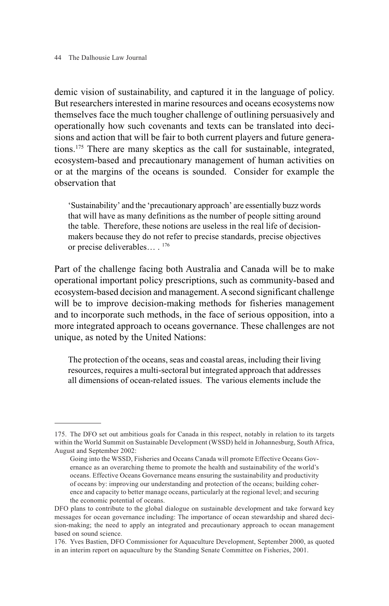demic vision of sustainability, and captured it in the language of policy. But researchers interested in marine resources and oceans ecosystems now themselves face the much tougher challenge of outlining persuasively and operationally how such covenants and texts can be translated into decisions and action that will be fair to both current players and future generations.175 There are many skeptics as the call for sustainable, integrated, ecosystem-based and precautionary management of human activities on or at the margins of the oceans is sounded. Consider for example the observation that

'Sustainability' and the 'precautionary approach' are essentially buzz words that will have as many definitions as the number of people sitting around the table. Therefore, these notions are useless in the real life of decisionmakers because they do not refer to precise standards, precise objectives or precise deliverables… . 176

Part of the challenge facing both Australia and Canada will be to make operational important policy prescriptions, such as community-based and ecosystem-based decision and management. A second significant challenge will be to improve decision-making methods for fisheries management and to incorporate such methods, in the face of serious opposition, into a more integrated approach to oceans governance. These challenges are not unique, as noted by the United Nations:

The protection of the oceans, seas and coastal areas, including their living resources, requires a multi-sectoral but integrated approach that addresses all dimensions of ocean-related issues. The various elements include the

<sup>175.</sup> The DFO set out ambitious goals for Canada in this respect, notably in relation to its targets within the World Summit on Sustainable Development (WSSD) held in Johannesburg, South Africa, August and September 2002:

Going into the WSSD, Fisheries and Oceans Canada will promote Effective Oceans Governance as an overarching theme to promote the health and sustainability of the world's oceans. Effective Oceans Governance means ensuring the sustainability and productivity of oceans by: improving our understanding and protection of the oceans; building coherence and capacity to better manage oceans, particularly at the regional level; and securing the economic potential of oceans.

DFO plans to contribute to the global dialogue on sustainable development and take forward key messages for ocean governance including: The importance of ocean stewardship and shared decision-making; the need to apply an integrated and precautionary approach to ocean management based on sound science.

<sup>176.</sup> Yves Bastien, DFO Commissioner for Aquaculture Development, September 2000, as quoted in an interim report on aquaculture by the Standing Senate Committee on Fisheries, 2001.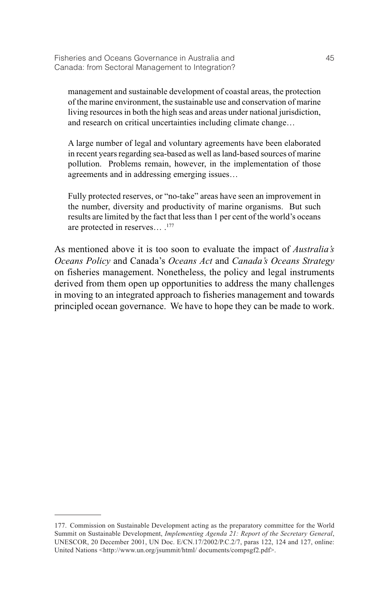management and sustainable development of coastal areas, the protection of the marine environment, the sustainable use and conservation of marine living resources in both the high seas and areas under national jurisdiction, and research on critical uncertainties including climate change…

A large number of legal and voluntary agreements have been elaborated in recent years regarding sea-based as well as land-based sources of marine pollution. Problems remain, however, in the implementation of those agreements and in addressing emerging issues…

Fully protected reserves, or "no-take" areas have seen an improvement in the number, diversity and productivity of marine organisms. But such results are limited by the fact that less than 1 per cent of the world's oceans are protected in reserves… .177

As mentioned above it is too soon to evaluate the impact of *Australia's Oceans Policy* and Canada's *Oceans Act* and *Canada's Oceans Strategy* on fisheries management. Nonetheless, the policy and legal instruments derived from them open up opportunities to address the many challenges in moving to an integrated approach to fisheries management and towards principled ocean governance. We have to hope they can be made to work.

<sup>177.</sup> Commission on Sustainable Development acting as the preparatory committee for the World Summit on Sustainable Development, *Implementing Agenda 21: Report of the Secretary General*, UNESCOR, 20 December 2001, UN Doc. E/CN.17/2002/P.C.2/7, paras 122, 124 and 127, online: United Nations <http://www.un.org/jsummit/html/ documents/compsgf2.pdf>.